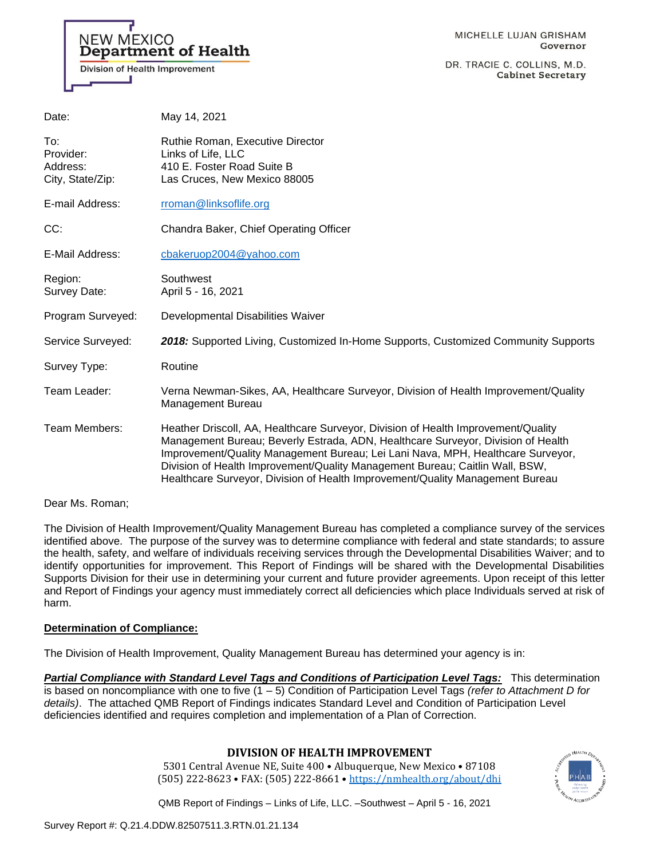# **NEW MEXICO Department of Health**

Division of Health Improvement

DR. TRACIE C. COLLINS, M.D. **Cabinet Secretary** 

| Date:                                            | May 14, 2021                                                                                                                                                                                                                                                                                                                                                                                                              |
|--------------------------------------------------|---------------------------------------------------------------------------------------------------------------------------------------------------------------------------------------------------------------------------------------------------------------------------------------------------------------------------------------------------------------------------------------------------------------------------|
| To:<br>Provider:<br>Address:<br>City, State/Zip: | Ruthie Roman, Executive Director<br>Links of Life, LLC<br>410 E. Foster Road Suite B<br>Las Cruces, New Mexico 88005                                                                                                                                                                                                                                                                                                      |
| E-mail Address:                                  | rroman@linksoflife.org                                                                                                                                                                                                                                                                                                                                                                                                    |
| CC:                                              | Chandra Baker, Chief Operating Officer                                                                                                                                                                                                                                                                                                                                                                                    |
| E-Mail Address:                                  | cbakeruop2004@yahoo.com                                                                                                                                                                                                                                                                                                                                                                                                   |
| Region:<br>Survey Date:                          | Southwest<br>April 5 - 16, 2021                                                                                                                                                                                                                                                                                                                                                                                           |
| Program Surveyed:                                | Developmental Disabilities Waiver                                                                                                                                                                                                                                                                                                                                                                                         |
| Service Surveyed:                                | 2018: Supported Living, Customized In-Home Supports, Customized Community Supports                                                                                                                                                                                                                                                                                                                                        |
| Survey Type:                                     | Routine                                                                                                                                                                                                                                                                                                                                                                                                                   |
| Team Leader:                                     | Verna Newman-Sikes, AA, Healthcare Surveyor, Division of Health Improvement/Quality<br><b>Management Bureau</b>                                                                                                                                                                                                                                                                                                           |
| Team Members:                                    | Heather Driscoll, AA, Healthcare Surveyor, Division of Health Improvement/Quality<br>Management Bureau; Beverly Estrada, ADN, Healthcare Surveyor, Division of Health<br>Improvement/Quality Management Bureau; Lei Lani Nava, MPH, Healthcare Surveyor,<br>Division of Health Improvement/Quality Management Bureau; Caitlin Wall, BSW,<br>Healthcare Surveyor, Division of Health Improvement/Quality Management Bureau |

Dear Ms. Roman;

The Division of Health Improvement/Quality Management Bureau has completed a compliance survey of the services identified above. The purpose of the survey was to determine compliance with federal and state standards; to assure the health, safety, and welfare of individuals receiving services through the Developmental Disabilities Waiver; and to identify opportunities for improvement. This Report of Findings will be shared with the Developmental Disabilities Supports Division for their use in determining your current and future provider agreements. Upon receipt of this letter and Report of Findings your agency must immediately correct all deficiencies which place Individuals served at risk of harm.

### **Determination of Compliance:**

The Division of Health Improvement, Quality Management Bureau has determined your agency is in:

*Partial Compliance with Standard Level Tags and Conditions of Participation Level Tags:* This determination is based on noncompliance with one to five (1 – 5) Condition of Participation Level Tags *(refer to Attachment D for details)*. The attached QMB Report of Findings indicates Standard Level and Condition of Participation Level deficiencies identified and requires completion and implementation of a Plan of Correction.

# **DIVISION OF HEALTH IMPROVEMENT**

5301 Central Avenue NE, Suite 400 • Albuquerque, New Mexico • 87108 (505) 222-8623 • FAX: (505) 222-8661 • <https://nmhealth.org/about/dhi>

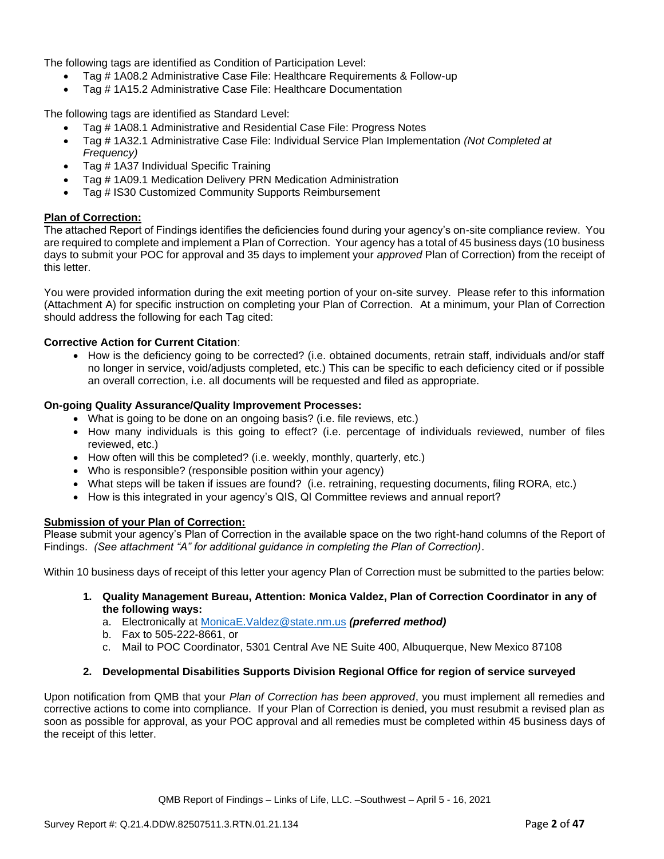The following tags are identified as Condition of Participation Level:

- Tag # 1A08.2 Administrative Case File: Healthcare Requirements & Follow-up
- Tag # 1A15.2 Administrative Case File: Healthcare Documentation

The following tags are identified as Standard Level:

- Tag # 1A08.1 Administrative and Residential Case File: Progress Notes
- Tag # 1A32.1 Administrative Case File: Individual Service Plan Implementation *(Not Completed at Frequency)*
- Tag # 1A37 Individual Specific Training
- Tag # 1A09.1 Medication Delivery PRN Medication Administration
- Tag # IS30 Customized Community Supports Reimbursement

### **Plan of Correction:**

The attached Report of Findings identifies the deficiencies found during your agency's on-site compliance review. You are required to complete and implement a Plan of Correction. Your agency has a total of 45 business days (10 business days to submit your POC for approval and 35 days to implement your *approved* Plan of Correction) from the receipt of this letter.

You were provided information during the exit meeting portion of your on-site survey. Please refer to this information (Attachment A) for specific instruction on completing your Plan of Correction. At a minimum, your Plan of Correction should address the following for each Tag cited:

### **Corrective Action for Current Citation**:

• How is the deficiency going to be corrected? (i.e. obtained documents, retrain staff, individuals and/or staff no longer in service, void/adjusts completed, etc.) This can be specific to each deficiency cited or if possible an overall correction, i.e. all documents will be requested and filed as appropriate.

#### **On-going Quality Assurance/Quality Improvement Processes:**

- What is going to be done on an ongoing basis? (i.e. file reviews, etc.)
- How many individuals is this going to effect? (i.e. percentage of individuals reviewed, number of files reviewed, etc.)
- How often will this be completed? (i.e. weekly, monthly, quarterly, etc.)
- Who is responsible? (responsible position within your agency)
- What steps will be taken if issues are found? (i.e. retraining, requesting documents, filing RORA, etc.)
- How is this integrated in your agency's QIS, QI Committee reviews and annual report?

### **Submission of your Plan of Correction:**

Please submit your agency's Plan of Correction in the available space on the two right-hand columns of the Report of Findings. *(See attachment "A" for additional guidance in completing the Plan of Correction)*.

Within 10 business days of receipt of this letter your agency Plan of Correction must be submitted to the parties below:

**1. Quality Management Bureau, Attention: Monica Valdez, Plan of Correction Coordinator in any of the following ways:**

a. Electronically at [MonicaE.Valdez@state.nm.us](mailto:MonicaE.Valdez@state.nm.us) *(preferred method)*

- b. Fax to 505-222-8661, or
- c. Mail to POC Coordinator, 5301 Central Ave NE Suite 400, Albuquerque, New Mexico 87108

#### **2. Developmental Disabilities Supports Division Regional Office for region of service surveyed**

Upon notification from QMB that your *Plan of Correction has been approved*, you must implement all remedies and corrective actions to come into compliance. If your Plan of Correction is denied, you must resubmit a revised plan as soon as possible for approval, as your POC approval and all remedies must be completed within 45 business days of the receipt of this letter.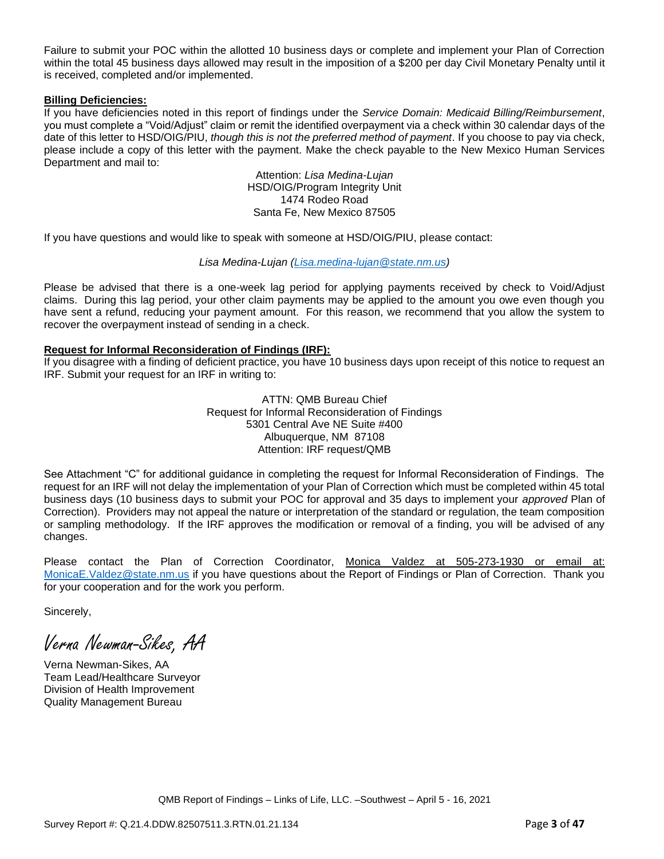Failure to submit your POC within the allotted 10 business days or complete and implement your Plan of Correction within the total 45 business days allowed may result in the imposition of a \$200 per day Civil Monetary Penalty until it is received, completed and/or implemented.

#### **Billing Deficiencies:**

If you have deficiencies noted in this report of findings under the *Service Domain: Medicaid Billing/Reimbursement*, you must complete a "Void/Adjust" claim or remit the identified overpayment via a check within 30 calendar days of the date of this letter to HSD/OIG/PIU, *though this is not the preferred method of payment*. If you choose to pay via check, please include a copy of this letter with the payment. Make the check payable to the New Mexico Human Services Department and mail to:

> Attention: *Lisa Medina-Lujan* HSD/OIG/Program Integrity Unit 1474 Rodeo Road Santa Fe, New Mexico 87505

If you have questions and would like to speak with someone at HSD/OIG/PIU, please contact:

### *Lisa Medina-Lujan [\(Lisa.medina-lujan@state.nm.us\)](mailto:Lisa.medina-lujan@state.nm.us)*

Please be advised that there is a one-week lag period for applying payments received by check to Void/Adjust claims. During this lag period, your other claim payments may be applied to the amount you owe even though you have sent a refund, reducing your payment amount. For this reason, we recommend that you allow the system to recover the overpayment instead of sending in a check.

### **Request for Informal Reconsideration of Findings (IRF):**

If you disagree with a finding of deficient practice, you have 10 business days upon receipt of this notice to request an IRF. Submit your request for an IRF in writing to:

> ATTN: QMB Bureau Chief Request for Informal Reconsideration of Findings 5301 Central Ave NE Suite #400 Albuquerque, NM 87108 Attention: IRF request/QMB

See Attachment "C" for additional guidance in completing the request for Informal Reconsideration of Findings. The request for an IRF will not delay the implementation of your Plan of Correction which must be completed within 45 total business days (10 business days to submit your POC for approval and 35 days to implement your *approved* Plan of Correction). Providers may not appeal the nature or interpretation of the standard or regulation, the team composition or sampling methodology. If the IRF approves the modification or removal of a finding, you will be advised of any changes.

Please contact the Plan of Correction Coordinator, Monica Valdez at 505-273-1930 or email at: [MonicaE.Valdez@state.nm.us](mailto:MonicaE.Valdez@state.nm.us) if you have questions about the Report of Findings or Plan of Correction. Thank you for your cooperation and for the work you perform.

Sincerely,

Verna Newman-Sikes, AA

Verna Newman-Sikes, AA Team Lead/Healthcare Surveyor Division of Health Improvement Quality Management Bureau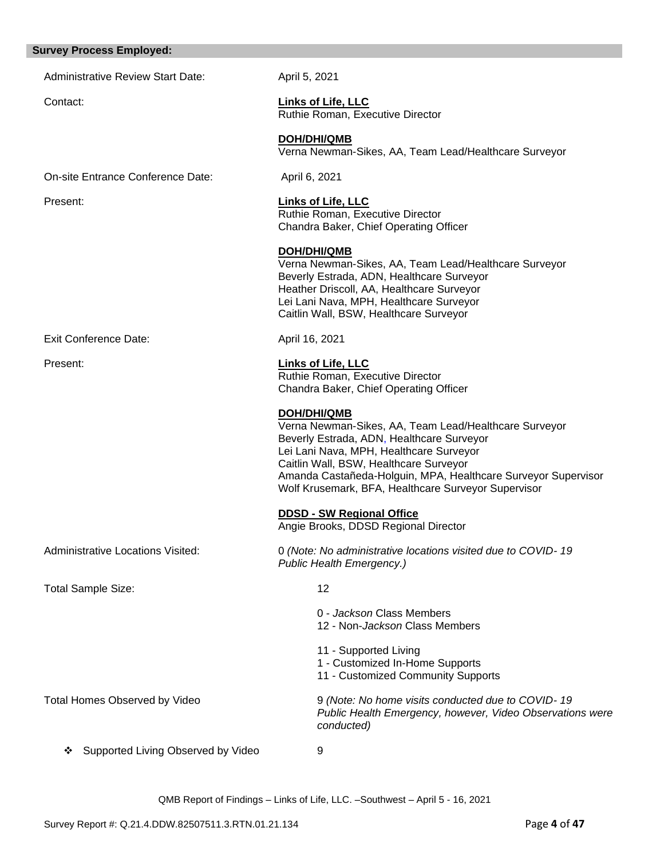#### **Survey Process Employed:**

Administrative Review Start Date: April 5, 2021

**DOH/DHI/QMB**

Contact: **Links of Life, LLC** Ruthie Roman, Executive Director

> Ruthie Roman, Executive Director Chandra Baker, Chief Operating Officer

**DOH/DHI/QMB** Verna Newman-Sikes, AA, Team Lead/Healthcare Surveyor

On-site Entrance Conference Date: April 6, 2021

Present: **Links of Life, LLC**

Exit Conference Date: April 16, 2021

Heather Driscoll, AA, Healthcare Surveyor Lei Lani Nava, MPH, Healthcare Surveyor Caitlin Wall, BSW, Healthcare Surveyor

Verna Newman-Sikes, AA, Team Lead/Healthcare Surveyor

Present: **Links of Life, LLC** Ruthie Roman, Executive Director Chandra Baker, Chief Operating Officer

Beverly Estrada, ADN, Healthcare Surveyor

**DOH/DHI/QMB** Verna Newman-Sikes, AA, Team Lead/Healthcare Surveyor Beverly Estrada, ADN, Healthcare Surveyor Lei Lani Nava, MPH, Healthcare Surveyor Caitlin Wall, BSW, Healthcare Surveyor Amanda Castañeda-Holguin, MPA, Healthcare Surveyor Supervisor Wolf Krusemark, BFA, Healthcare Surveyor Supervisor

**DDSD - SW Regional Office**  Angie Brooks, DDSD Regional Director

Total Sample Size: 12

Administrative Locations Visited: 0 *(Note: No administrative locations visited due to COVID- 19 Public Health Emergency.)*

 - *Jackson* Class Members - Non-*Jackson* Class Members - Supported Living - Customized In-Home Supports - Customized Community Supports Total Homes Observed by Video 9 *(Note: No home visits conducted due to COVID- 19 Public Health Emergency, however, Video Observations were conducted)*

❖ Supported Living Observed by Video 9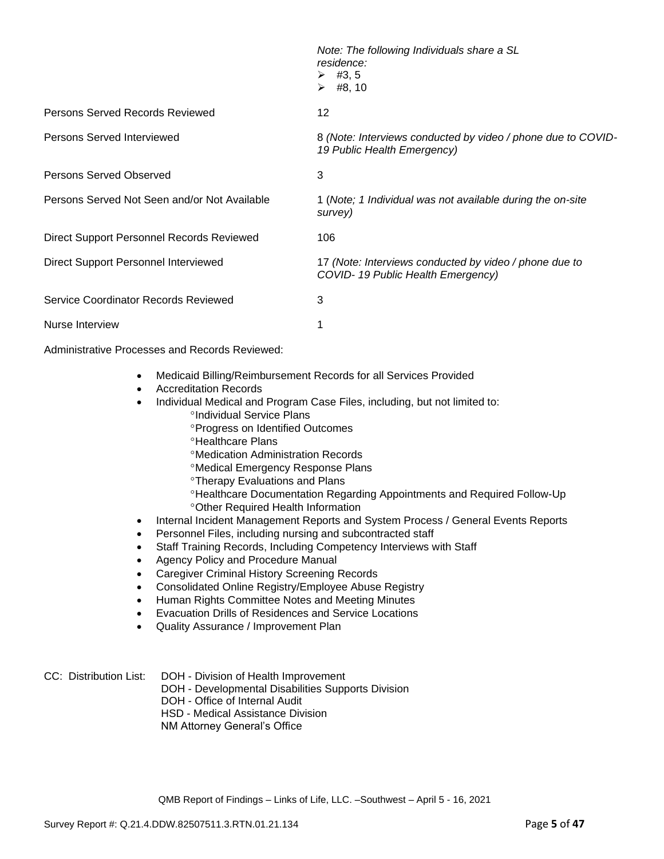|                                                  | Note: The following Individuals share a SL<br>residence:<br>$\triangleright$ #3,5<br>$\triangleright$ #8, 10 |
|--------------------------------------------------|--------------------------------------------------------------------------------------------------------------|
| Persons Served Records Reviewed                  | 12                                                                                                           |
| Persons Served Interviewed                       | 8 (Note: Interviews conducted by video / phone due to COVID-<br>19 Public Health Emergency)                  |
| Persons Served Observed                          | 3                                                                                                            |
| Persons Served Not Seen and/or Not Available     | 1 (Note; 1 Individual was not available during the on-site<br>survey)                                        |
| <b>Direct Support Personnel Records Reviewed</b> | 106                                                                                                          |
| Direct Support Personnel Interviewed             | 17 (Note: Interviews conducted by video / phone due to<br>COVID-19 Public Health Emergency)                  |
| Service Coordinator Records Reviewed             | 3                                                                                                            |
| Nurse Interview                                  |                                                                                                              |

Administrative Processes and Records Reviewed:

- Medicaid Billing/Reimbursement Records for all Services Provided
- Accreditation Records
- Individual Medical and Program Case Files, including, but not limited to: °Individual Service Plans
	- **Progress on Identified Outcomes**
	- <sup>o</sup>Healthcare Plans
	- Medication Administration Records
	- Medical Emergency Response Plans
	- **<sup>o</sup>Therapy Evaluations and Plans**
	- Healthcare Documentation Regarding Appointments and Required Follow-Up Other Required Health Information
- Internal Incident Management Reports and System Process / General Events Reports
- Personnel Files, including nursing and subcontracted staff
- Staff Training Records, Including Competency Interviews with Staff
- Agency Policy and Procedure Manual
- Caregiver Criminal History Screening Records
- Consolidated Online Registry/Employee Abuse Registry
- Human Rights Committee Notes and Meeting Minutes
- Evacuation Drills of Residences and Service Locations
- Quality Assurance / Improvement Plan

### CC: Distribution List: DOH - Division of Health Improvement DOH - Developmental Disabilities Supports Division DOH - Office of Internal Audit HSD - Medical Assistance Division

NM Attorney General's Office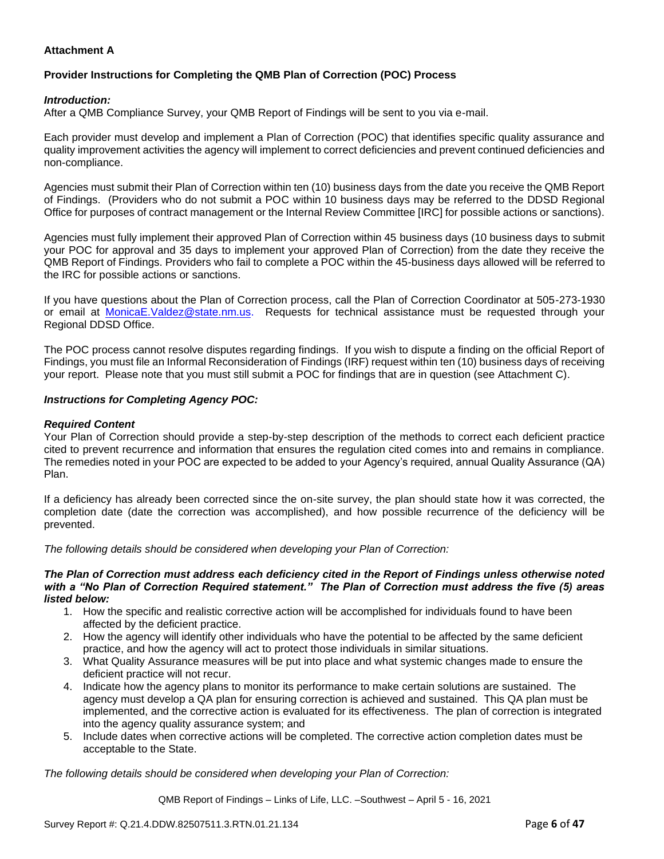### **Attachment A**

# **Provider Instructions for Completing the QMB Plan of Correction (POC) Process**

### *Introduction:*

After a QMB Compliance Survey, your QMB Report of Findings will be sent to you via e-mail.

Each provider must develop and implement a Plan of Correction (POC) that identifies specific quality assurance and quality improvement activities the agency will implement to correct deficiencies and prevent continued deficiencies and non-compliance.

Agencies must submit their Plan of Correction within ten (10) business days from the date you receive the QMB Report of Findings. (Providers who do not submit a POC within 10 business days may be referred to the DDSD Regional Office for purposes of contract management or the Internal Review Committee [IRC] for possible actions or sanctions).

Agencies must fully implement their approved Plan of Correction within 45 business days (10 business days to submit your POC for approval and 35 days to implement your approved Plan of Correction) from the date they receive the QMB Report of Findings. Providers who fail to complete a POC within the 45-business days allowed will be referred to the IRC for possible actions or sanctions.

If you have questions about the Plan of Correction process, call the Plan of Correction Coordinator at 505-273-1930 or email at [MonicaE.Valdez@state.nm.us.](mailto:MonicaE.Valdez@state.nm.us) Requests for technical assistance must be requested through your Regional DDSD Office.

The POC process cannot resolve disputes regarding findings. If you wish to dispute a finding on the official Report of Findings, you must file an Informal Reconsideration of Findings (IRF) request within ten (10) business days of receiving your report. Please note that you must still submit a POC for findings that are in question (see Attachment C).

#### *Instructions for Completing Agency POC:*

### *Required Content*

Your Plan of Correction should provide a step-by-step description of the methods to correct each deficient practice cited to prevent recurrence and information that ensures the regulation cited comes into and remains in compliance. The remedies noted in your POC are expected to be added to your Agency's required, annual Quality Assurance (QA) Plan.

If a deficiency has already been corrected since the on-site survey, the plan should state how it was corrected, the completion date (date the correction was accomplished), and how possible recurrence of the deficiency will be prevented.

*The following details should be considered when developing your Plan of Correction:*

#### *The Plan of Correction must address each deficiency cited in the Report of Findings unless otherwise noted with a "No Plan of Correction Required statement." The Plan of Correction must address the five (5) areas listed below:*

- 1. How the specific and realistic corrective action will be accomplished for individuals found to have been affected by the deficient practice.
- 2. How the agency will identify other individuals who have the potential to be affected by the same deficient practice, and how the agency will act to protect those individuals in similar situations.
- 3. What Quality Assurance measures will be put into place and what systemic changes made to ensure the deficient practice will not recur.
- 4. Indicate how the agency plans to monitor its performance to make certain solutions are sustained. The agency must develop a QA plan for ensuring correction is achieved and sustained. This QA plan must be implemented, and the corrective action is evaluated for its effectiveness. The plan of correction is integrated into the agency quality assurance system; and
- 5. Include dates when corrective actions will be completed. The corrective action completion dates must be acceptable to the State.

*The following details should be considered when developing your Plan of Correction:*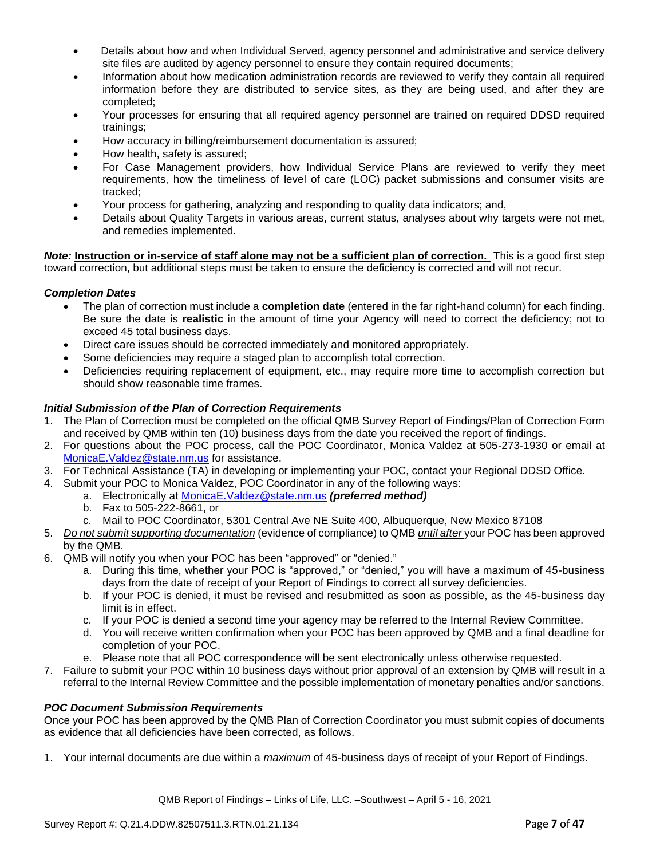- Details about how and when Individual Served, agency personnel and administrative and service delivery site files are audited by agency personnel to ensure they contain required documents;
- Information about how medication administration records are reviewed to verify they contain all required information before they are distributed to service sites, as they are being used, and after they are completed;
- Your processes for ensuring that all required agency personnel are trained on required DDSD required trainings;
- How accuracy in billing/reimbursement documentation is assured;
- How health, safety is assured;
- For Case Management providers, how Individual Service Plans are reviewed to verify they meet requirements, how the timeliness of level of care (LOC) packet submissions and consumer visits are tracked;
- Your process for gathering, analyzing and responding to quality data indicators; and,
- Details about Quality Targets in various areas, current status, analyses about why targets were not met, and remedies implemented.

*Note:* **Instruction or in-service of staff alone may not be a sufficient plan of correction.** This is a good first step toward correction, but additional steps must be taken to ensure the deficiency is corrected and will not recur.

### *Completion Dates*

- The plan of correction must include a **completion date** (entered in the far right-hand column) for each finding. Be sure the date is **realistic** in the amount of time your Agency will need to correct the deficiency; not to exceed 45 total business days.
- Direct care issues should be corrected immediately and monitored appropriately.
- Some deficiencies may require a staged plan to accomplish total correction.
- Deficiencies requiring replacement of equipment, etc., may require more time to accomplish correction but should show reasonable time frames.

### *Initial Submission of the Plan of Correction Requirements*

- 1. The Plan of Correction must be completed on the official QMB Survey Report of Findings/Plan of Correction Form and received by QMB within ten (10) business days from the date you received the report of findings.
- 2. For questions about the POC process, call the POC Coordinator, Monica Valdez at 505-273-1930 or email at [MonicaE.Valdez@state.nm.us](mailto:MonicaE.Valdez@state.nm.us) for assistance.
- 3. For Technical Assistance (TA) in developing or implementing your POC, contact your Regional DDSD Office.
- 4. Submit your POC to Monica Valdez, POC Coordinator in any of the following ways:
	- a. Electronically at [MonicaE.Valdez@state.nm.us](mailto:MonicaE.Valdez@state.nm.us) *(preferred method)*
	- b. Fax to 505-222-8661, or
	- c. Mail to POC Coordinator, 5301 Central Ave NE Suite 400, Albuquerque, New Mexico 87108
- 5. *Do not submit supporting documentation* (evidence of compliance) to QMB *until after* your POC has been approved by the QMB.
- 6. QMB will notify you when your POC has been "approved" or "denied."
	- a. During this time, whether your POC is "approved," or "denied," you will have a maximum of 45-business days from the date of receipt of your Report of Findings to correct all survey deficiencies.
	- b. If your POC is denied, it must be revised and resubmitted as soon as possible, as the 45-business day limit is in effect.
	- c. If your POC is denied a second time your agency may be referred to the Internal Review Committee.
	- d. You will receive written confirmation when your POC has been approved by QMB and a final deadline for completion of your POC.
	- e. Please note that all POC correspondence will be sent electronically unless otherwise requested.
- 7. Failure to submit your POC within 10 business days without prior approval of an extension by QMB will result in a referral to the Internal Review Committee and the possible implementation of monetary penalties and/or sanctions.

#### *POC Document Submission Requirements*

Once your POC has been approved by the QMB Plan of Correction Coordinator you must submit copies of documents as evidence that all deficiencies have been corrected, as follows.

1. Your internal documents are due within a *maximum* of 45-business days of receipt of your Report of Findings.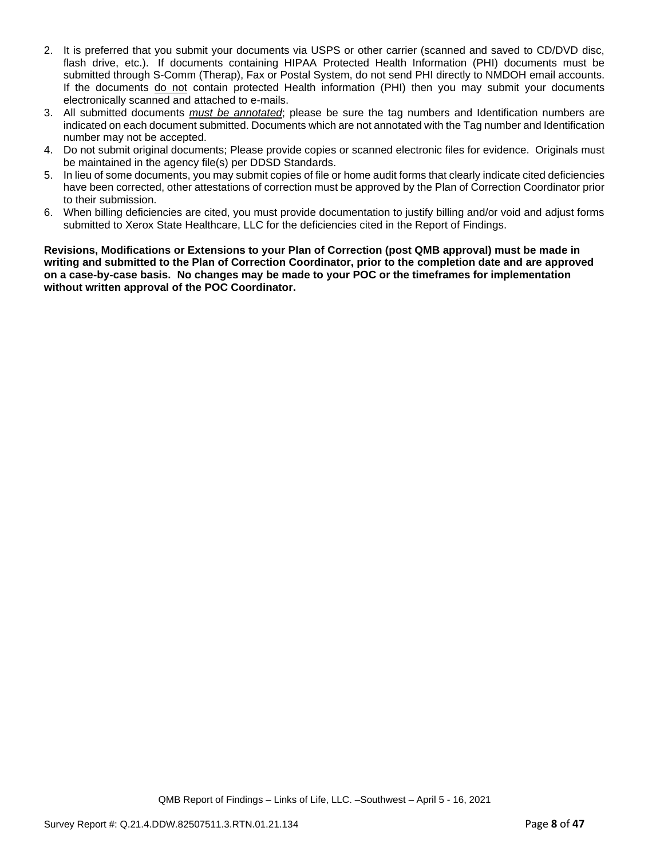- 2. It is preferred that you submit your documents via USPS or other carrier (scanned and saved to CD/DVD disc, flash drive, etc.). If documents containing HIPAA Protected Health Information (PHI) documents must be submitted through S-Comm (Therap), Fax or Postal System, do not send PHI directly to NMDOH email accounts. If the documents do not contain protected Health information (PHI) then you may submit your documents electronically scanned and attached to e-mails.
- 3. All submitted documents *must be annotated*; please be sure the tag numbers and Identification numbers are indicated on each document submitted. Documents which are not annotated with the Tag number and Identification number may not be accepted.
- 4. Do not submit original documents; Please provide copies or scanned electronic files for evidence. Originals must be maintained in the agency file(s) per DDSD Standards.
- 5. In lieu of some documents, you may submit copies of file or home audit forms that clearly indicate cited deficiencies have been corrected, other attestations of correction must be approved by the Plan of Correction Coordinator prior to their submission.
- 6. When billing deficiencies are cited, you must provide documentation to justify billing and/or void and adjust forms submitted to Xerox State Healthcare, LLC for the deficiencies cited in the Report of Findings.

**Revisions, Modifications or Extensions to your Plan of Correction (post QMB approval) must be made in writing and submitted to the Plan of Correction Coordinator, prior to the completion date and are approved on a case-by-case basis. No changes may be made to your POC or the timeframes for implementation without written approval of the POC Coordinator.**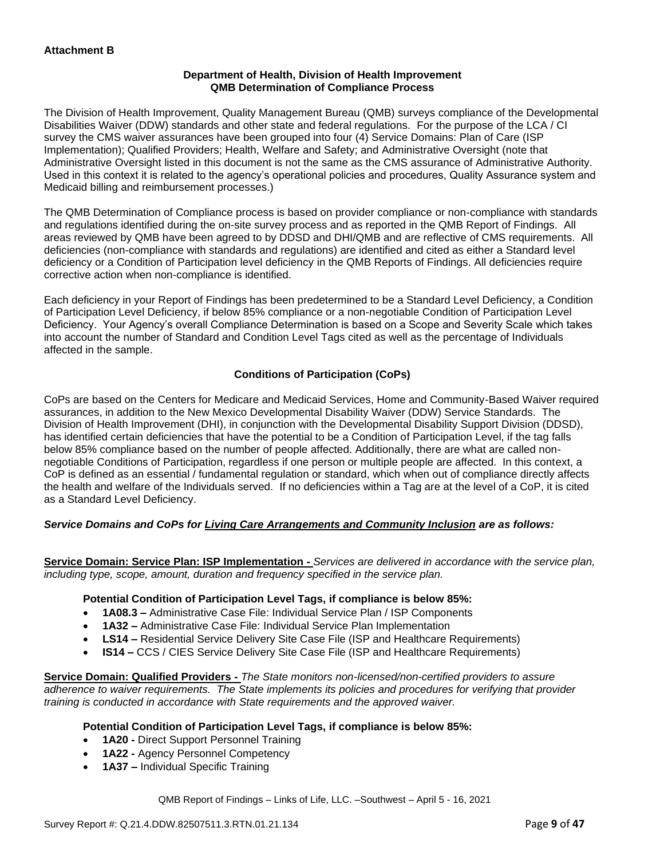### **Department of Health, Division of Health Improvement QMB Determination of Compliance Process**

The Division of Health Improvement, Quality Management Bureau (QMB) surveys compliance of the Developmental Disabilities Waiver (DDW) standards and other state and federal regulations. For the purpose of the LCA / CI survey the CMS waiver assurances have been grouped into four (4) Service Domains: Plan of Care (ISP Implementation); Qualified Providers; Health, Welfare and Safety; and Administrative Oversight (note that Administrative Oversight listed in this document is not the same as the CMS assurance of Administrative Authority. Used in this context it is related to the agency's operational policies and procedures, Quality Assurance system and Medicaid billing and reimbursement processes.)

The QMB Determination of Compliance process is based on provider compliance or non-compliance with standards and regulations identified during the on-site survey process and as reported in the QMB Report of Findings. All areas reviewed by QMB have been agreed to by DDSD and DHI/QMB and are reflective of CMS requirements. All deficiencies (non-compliance with standards and regulations) are identified and cited as either a Standard level deficiency or a Condition of Participation level deficiency in the QMB Reports of Findings. All deficiencies require corrective action when non-compliance is identified.

Each deficiency in your Report of Findings has been predetermined to be a Standard Level Deficiency, a Condition of Participation Level Deficiency, if below 85% compliance or a non-negotiable Condition of Participation Level Deficiency. Your Agency's overall Compliance Determination is based on a Scope and Severity Scale which takes into account the number of Standard and Condition Level Tags cited as well as the percentage of Individuals affected in the sample.

### **Conditions of Participation (CoPs)**

CoPs are based on the Centers for Medicare and Medicaid Services, Home and Community-Based Waiver required assurances, in addition to the New Mexico Developmental Disability Waiver (DDW) Service Standards. The Division of Health Improvement (DHI), in conjunction with the Developmental Disability Support Division (DDSD), has identified certain deficiencies that have the potential to be a Condition of Participation Level, if the tag falls below 85% compliance based on the number of people affected. Additionally, there are what are called nonnegotiable Conditions of Participation, regardless if one person or multiple people are affected. In this context, a CoP is defined as an essential / fundamental regulation or standard, which when out of compliance directly affects the health and welfare of the Individuals served. If no deficiencies within a Tag are at the level of a CoP, it is cited as a Standard Level Deficiency.

### *Service Domains and CoPs for Living Care Arrangements and Community Inclusion are as follows:*

**Service Domain: Service Plan: ISP Implementation -** *Services are delivered in accordance with the service plan, including type, scope, amount, duration and frequency specified in the service plan.*

#### **Potential Condition of Participation Level Tags, if compliance is below 85%:**

- **1A08.3 –** Administrative Case File: Individual Service Plan / ISP Components
- **1A32 –** Administrative Case File: Individual Service Plan Implementation
- **LS14 –** Residential Service Delivery Site Case File (ISP and Healthcare Requirements)
- **IS14 –** CCS / CIES Service Delivery Site Case File (ISP and Healthcare Requirements)

**Service Domain: Qualified Providers -** *The State monitors non-licensed/non-certified providers to assure adherence to waiver requirements. The State implements its policies and procedures for verifying that provider training is conducted in accordance with State requirements and the approved waiver.*

#### **Potential Condition of Participation Level Tags, if compliance is below 85%:**

- **1A20 -** Direct Support Personnel Training
- **1A22 -** Agency Personnel Competency
- **1A37 –** Individual Specific Training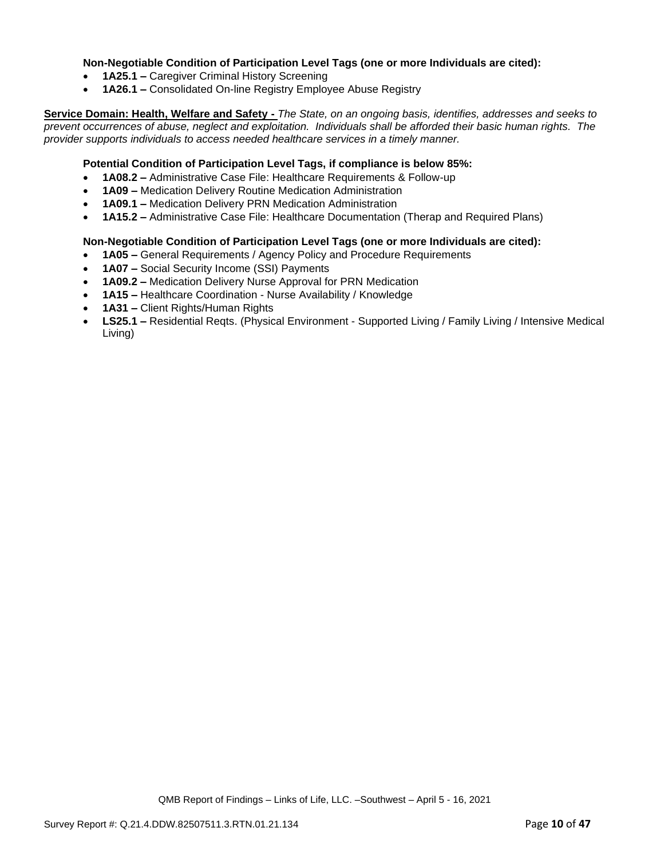### **Non-Negotiable Condition of Participation Level Tags (one or more Individuals are cited):**

- **1A25.1 –** Caregiver Criminal History Screening
- **1A26.1 –** Consolidated On-line Registry Employee Abuse Registry

**Service Domain: Health, Welfare and Safety -** *The State, on an ongoing basis, identifies, addresses and seeks to prevent occurrences of abuse, neglect and exploitation. Individuals shall be afforded their basic human rights. The provider supports individuals to access needed healthcare services in a timely manner.*

### **Potential Condition of Participation Level Tags, if compliance is below 85%:**

- **1A08.2 –** Administrative Case File: Healthcare Requirements & Follow-up
- **1A09 –** Medication Delivery Routine Medication Administration
- **1A09.1 –** Medication Delivery PRN Medication Administration
- **1A15.2 –** Administrative Case File: Healthcare Documentation (Therap and Required Plans)

#### **Non-Negotiable Condition of Participation Level Tags (one or more Individuals are cited):**

- **1A05 –** General Requirements / Agency Policy and Procedure Requirements
- **1A07 –** Social Security Income (SSI) Payments
- **1A09.2 –** Medication Delivery Nurse Approval for PRN Medication
- **1A15 –** Healthcare Coordination Nurse Availability / Knowledge
- **1A31 –** Client Rights/Human Rights
- **LS25.1 –** Residential Reqts. (Physical Environment Supported Living / Family Living / Intensive Medical Living)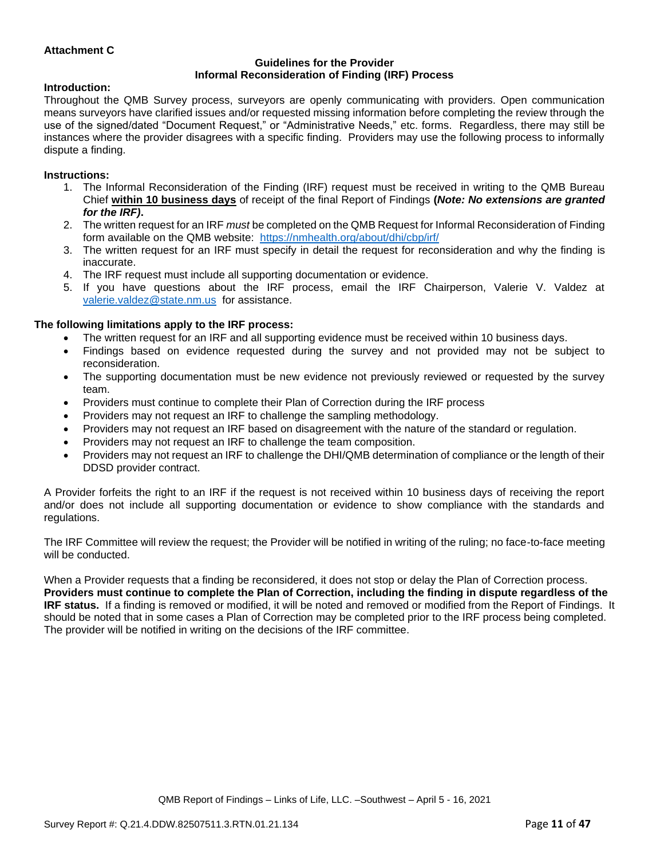### **Attachment C**

#### **Guidelines for the Provider Informal Reconsideration of Finding (IRF) Process**

#### **Introduction:**

Throughout the QMB Survey process, surveyors are openly communicating with providers. Open communication means surveyors have clarified issues and/or requested missing information before completing the review through the use of the signed/dated "Document Request," or "Administrative Needs," etc. forms. Regardless, there may still be instances where the provider disagrees with a specific finding. Providers may use the following process to informally dispute a finding.

#### **Instructions:**

- 1. The Informal Reconsideration of the Finding (IRF) request must be received in writing to the QMB Bureau Chief **within 10 business days** of receipt of the final Report of Findings **(***Note: No extensions are granted for the IRF)***.**
- 2. The written request for an IRF *must* be completed on the QMB Request for Informal Reconsideration of Finding form available on the QMB website: <https://nmhealth.org/about/dhi/cbp/irf/>
- 3. The written request for an IRF must specify in detail the request for reconsideration and why the finding is inaccurate.
- 4. The IRF request must include all supporting documentation or evidence.
- 5. If you have questions about the IRF process, email the IRF Chairperson, Valerie V. Valdez at [valerie.valdez@state.nm.us](mailto:valerie.valdez@state.nm.us) for assistance.

#### **The following limitations apply to the IRF process:**

- The written request for an IRF and all supporting evidence must be received within 10 business days.
- Findings based on evidence requested during the survey and not provided may not be subject to reconsideration.
- The supporting documentation must be new evidence not previously reviewed or requested by the survey team.
- Providers must continue to complete their Plan of Correction during the IRF process
- Providers may not request an IRF to challenge the sampling methodology.
- Providers may not request an IRF based on disagreement with the nature of the standard or regulation.
- Providers may not request an IRF to challenge the team composition.
- Providers may not request an IRF to challenge the DHI/QMB determination of compliance or the length of their DDSD provider contract.

A Provider forfeits the right to an IRF if the request is not received within 10 business days of receiving the report and/or does not include all supporting documentation or evidence to show compliance with the standards and regulations.

The IRF Committee will review the request; the Provider will be notified in writing of the ruling; no face-to-face meeting will be conducted.

When a Provider requests that a finding be reconsidered, it does not stop or delay the Plan of Correction process. **Providers must continue to complete the Plan of Correction, including the finding in dispute regardless of the IRF status.** If a finding is removed or modified, it will be noted and removed or modified from the Report of Findings. It should be noted that in some cases a Plan of Correction may be completed prior to the IRF process being completed. The provider will be notified in writing on the decisions of the IRF committee.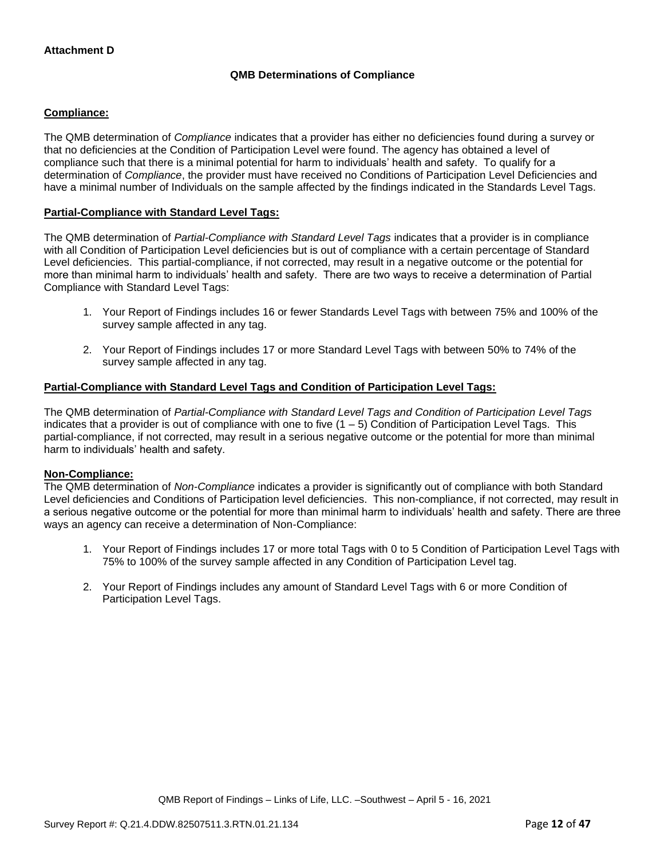### **QMB Determinations of Compliance**

### **Compliance:**

The QMB determination of *Compliance* indicates that a provider has either no deficiencies found during a survey or that no deficiencies at the Condition of Participation Level were found. The agency has obtained a level of compliance such that there is a minimal potential for harm to individuals' health and safety. To qualify for a determination of *Compliance*, the provider must have received no Conditions of Participation Level Deficiencies and have a minimal number of Individuals on the sample affected by the findings indicated in the Standards Level Tags.

### **Partial-Compliance with Standard Level Tags:**

The QMB determination of *Partial-Compliance with Standard Level Tags* indicates that a provider is in compliance with all Condition of Participation Level deficiencies but is out of compliance with a certain percentage of Standard Level deficiencies. This partial-compliance, if not corrected, may result in a negative outcome or the potential for more than minimal harm to individuals' health and safety. There are two ways to receive a determination of Partial Compliance with Standard Level Tags:

- 1. Your Report of Findings includes 16 or fewer Standards Level Tags with between 75% and 100% of the survey sample affected in any tag.
- 2. Your Report of Findings includes 17 or more Standard Level Tags with between 50% to 74% of the survey sample affected in any tag.

### **Partial-Compliance with Standard Level Tags and Condition of Participation Level Tags:**

The QMB determination of *Partial-Compliance with Standard Level Tags and Condition of Participation Level Tags*  indicates that a provider is out of compliance with one to five  $(1 - 5)$  Condition of Participation Level Tags. This partial-compliance, if not corrected, may result in a serious negative outcome or the potential for more than minimal harm to individuals' health and safety.

#### **Non-Compliance:**

The QMB determination of *Non-Compliance* indicates a provider is significantly out of compliance with both Standard Level deficiencies and Conditions of Participation level deficiencies. This non-compliance, if not corrected, may result in a serious negative outcome or the potential for more than minimal harm to individuals' health and safety. There are three ways an agency can receive a determination of Non-Compliance:

- 1. Your Report of Findings includes 17 or more total Tags with 0 to 5 Condition of Participation Level Tags with 75% to 100% of the survey sample affected in any Condition of Participation Level tag.
- 2. Your Report of Findings includes any amount of Standard Level Tags with 6 or more Condition of Participation Level Tags.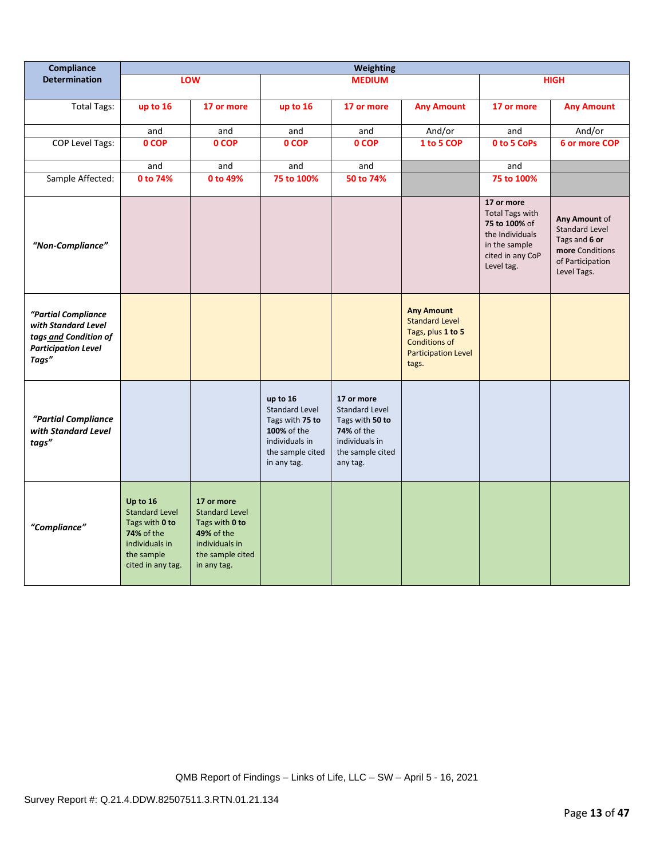| Compliance                                                                                                 | <b>Weighting</b>                                                                                                       |                                                                                                                          |                                                                                                                          |                                                                                                                        |                                                                                                                                |                                                                                                                             |                                                                                                               |
|------------------------------------------------------------------------------------------------------------|------------------------------------------------------------------------------------------------------------------------|--------------------------------------------------------------------------------------------------------------------------|--------------------------------------------------------------------------------------------------------------------------|------------------------------------------------------------------------------------------------------------------------|--------------------------------------------------------------------------------------------------------------------------------|-----------------------------------------------------------------------------------------------------------------------------|---------------------------------------------------------------------------------------------------------------|
| <b>Determination</b>                                                                                       |                                                                                                                        | LOW                                                                                                                      |                                                                                                                          | <b>MEDIUM</b>                                                                                                          |                                                                                                                                |                                                                                                                             | <b>HIGH</b>                                                                                                   |
| <b>Total Tags:</b>                                                                                         | up to 16                                                                                                               | 17 or more                                                                                                               | up to 16                                                                                                                 | 17 or more                                                                                                             | <b>Any Amount</b>                                                                                                              | 17 or more                                                                                                                  | <b>Any Amount</b>                                                                                             |
|                                                                                                            | and                                                                                                                    | and                                                                                                                      | and                                                                                                                      | and                                                                                                                    | And/or                                                                                                                         | and                                                                                                                         | And/or                                                                                                        |
| <b>COP Level Tags:</b>                                                                                     | 0 COP                                                                                                                  | 0 COP                                                                                                                    | 0 COP                                                                                                                    | 0 COP                                                                                                                  | 1 to 5 COP                                                                                                                     | 0 to 5 CoPs                                                                                                                 | 6 or more COP                                                                                                 |
|                                                                                                            | and                                                                                                                    | and                                                                                                                      | and                                                                                                                      | and                                                                                                                    |                                                                                                                                | and                                                                                                                         |                                                                                                               |
| Sample Affected:                                                                                           | 0 to 74%                                                                                                               | 0 to 49%                                                                                                                 | 75 to 100%                                                                                                               | 50 to 74%                                                                                                              |                                                                                                                                | 75 to 100%                                                                                                                  |                                                                                                               |
| "Non-Compliance"                                                                                           |                                                                                                                        |                                                                                                                          |                                                                                                                          |                                                                                                                        |                                                                                                                                | 17 or more<br><b>Total Tags with</b><br>75 to 100% of<br>the Individuals<br>in the sample<br>cited in any CoP<br>Level tag. | Any Amount of<br><b>Standard Level</b><br>Tags and 6 or<br>more Conditions<br>of Participation<br>Level Tags. |
| "Partial Compliance<br>with Standard Level<br>tags and Condition of<br><b>Participation Level</b><br>Tags" |                                                                                                                        |                                                                                                                          |                                                                                                                          |                                                                                                                        | <b>Any Amount</b><br><b>Standard Level</b><br>Tags, plus 1 to 5<br><b>Conditions of</b><br><b>Participation Level</b><br>tags. |                                                                                                                             |                                                                                                               |
| "Partial Compliance<br>with Standard Level<br>tags"                                                        |                                                                                                                        |                                                                                                                          | up to 16<br><b>Standard Level</b><br>Tags with 75 to<br>100% of the<br>individuals in<br>the sample cited<br>in any tag. | 17 or more<br>Standard Level<br>Tags with 50 to<br><b>74%</b> of the<br>individuals in<br>the sample cited<br>any tag. |                                                                                                                                |                                                                                                                             |                                                                                                               |
| "Compliance"                                                                                               | Up to 16<br><b>Standard Level</b><br>Tags with 0 to<br>74% of the<br>individuals in<br>the sample<br>cited in any tag. | 17 or more<br><b>Standard Level</b><br>Tags with 0 to<br>49% of the<br>individuals in<br>the sample cited<br>in any tag. |                                                                                                                          |                                                                                                                        |                                                                                                                                |                                                                                                                             |                                                                                                               |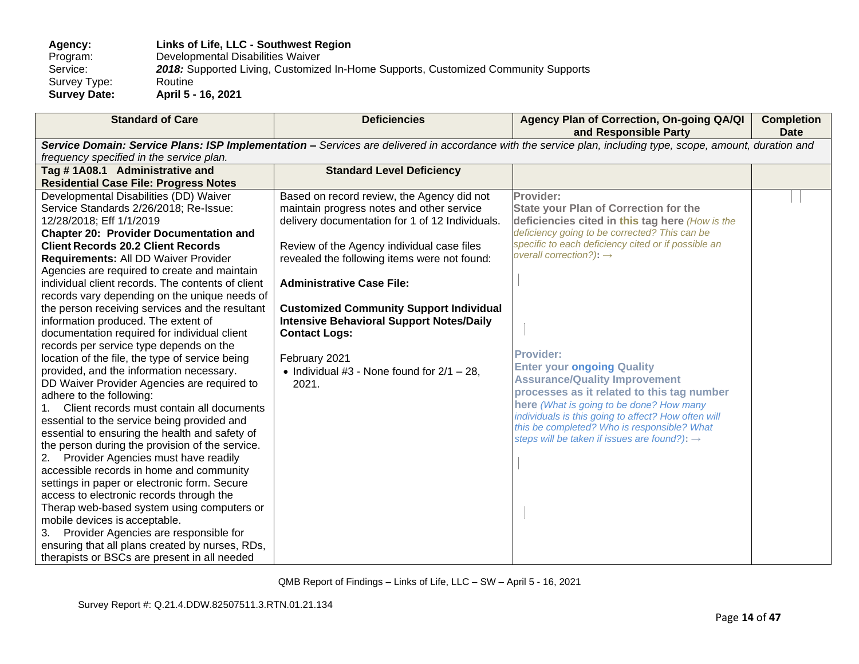**Agency: Links of Life, LLC - Southwest Region** Program: Developmental Disabilities Waiver<br>Service: 2018: Supported Living, Customize 2018: Supported Living, Customized In-Home Supports, Customized Community Supports<br>Routine Survey Type:<br>Survey Date: **Survey Date: April 5 - 16, 2021**

| <b>Standard of Care</b>                           | <b>Deficiencies</b>                             | Agency Plan of Correction, On-going QA/QI<br>and Responsible Party                                                                                          | <b>Completion</b><br><b>Date</b> |
|---------------------------------------------------|-------------------------------------------------|-------------------------------------------------------------------------------------------------------------------------------------------------------------|----------------------------------|
|                                                   |                                                 | Service Domain: Service Plans: ISP Implementation - Services are delivered in accordance with the service plan, including type, scope, amount, duration and |                                  |
| frequency specified in the service plan.          |                                                 |                                                                                                                                                             |                                  |
| Tag #1A08.1 Administrative and                    | <b>Standard Level Deficiency</b>                |                                                                                                                                                             |                                  |
| <b>Residential Case File: Progress Notes</b>      |                                                 |                                                                                                                                                             |                                  |
| Developmental Disabilities (DD) Waiver            | Based on record review, the Agency did not      | Provider:                                                                                                                                                   |                                  |
| Service Standards 2/26/2018; Re-Issue:            | maintain progress notes and other service       | <b>State your Plan of Correction for the</b>                                                                                                                |                                  |
| 12/28/2018; Eff 1/1/2019                          | delivery documentation for 1 of 12 Individuals. | deficiencies cited in this tag here (How is the                                                                                                             |                                  |
| <b>Chapter 20: Provider Documentation and</b>     |                                                 | deficiency going to be corrected? This can be                                                                                                               |                                  |
| <b>Client Records 20.2 Client Records</b>         | Review of the Agency individual case files      | specific to each deficiency cited or if possible an                                                                                                         |                                  |
| Requirements: All DD Waiver Provider              | revealed the following items were not found:    | overall correction?): $\rightarrow$                                                                                                                         |                                  |
| Agencies are required to create and maintain      |                                                 |                                                                                                                                                             |                                  |
| individual client records. The contents of client | <b>Administrative Case File:</b>                |                                                                                                                                                             |                                  |
| records vary depending on the unique needs of     |                                                 |                                                                                                                                                             |                                  |
| the person receiving services and the resultant   | <b>Customized Community Support Individual</b>  |                                                                                                                                                             |                                  |
| information produced. The extent of               | <b>Intensive Behavioral Support Notes/Daily</b> |                                                                                                                                                             |                                  |
| documentation required for individual client      | <b>Contact Logs:</b>                            |                                                                                                                                                             |                                  |
| records per service type depends on the           |                                                 |                                                                                                                                                             |                                  |
| location of the file, the type of service being   | February 2021                                   | <b>Provider:</b>                                                                                                                                            |                                  |
| provided, and the information necessary.          | • Individual #3 - None found for $2/1 - 28$ ,   | <b>Enter your ongoing Quality</b>                                                                                                                           |                                  |
| DD Waiver Provider Agencies are required to       | 2021.                                           | <b>Assurance/Quality Improvement</b>                                                                                                                        |                                  |
| adhere to the following:                          |                                                 | processes as it related to this tag number                                                                                                                  |                                  |
| Client records must contain all documents         |                                                 | here (What is going to be done? How many                                                                                                                    |                                  |
| essential to the service being provided and       |                                                 | individuals is this going to affect? How often will                                                                                                         |                                  |
| essential to ensuring the health and safety of    |                                                 | this be completed? Who is responsible? What<br>steps will be taken if issues are found?): →                                                                 |                                  |
| the person during the provision of the service.   |                                                 |                                                                                                                                                             |                                  |
| 2. Provider Agencies must have readily            |                                                 |                                                                                                                                                             |                                  |
| accessible records in home and community          |                                                 |                                                                                                                                                             |                                  |
| settings in paper or electronic form. Secure      |                                                 |                                                                                                                                                             |                                  |
| access to electronic records through the          |                                                 |                                                                                                                                                             |                                  |
| Therap web-based system using computers or        |                                                 |                                                                                                                                                             |                                  |
| mobile devices is acceptable.                     |                                                 |                                                                                                                                                             |                                  |
| Provider Agencies are responsible for<br>3.       |                                                 |                                                                                                                                                             |                                  |
| ensuring that all plans created by nurses, RDs,   |                                                 |                                                                                                                                                             |                                  |
| therapists or BSCs are present in all needed      |                                                 |                                                                                                                                                             |                                  |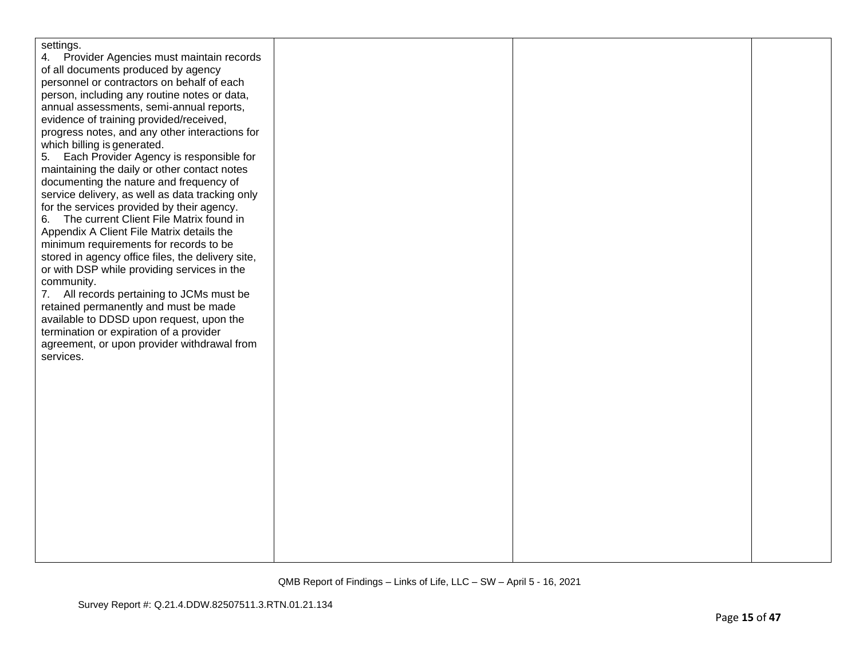| settings.                                         |  |  |
|---------------------------------------------------|--|--|
| 4. Provider Agencies must maintain records        |  |  |
| of all documents produced by agency               |  |  |
| personnel or contractors on behalf of each        |  |  |
| person, including any routine notes or data,      |  |  |
| annual assessments, semi-annual reports,          |  |  |
| evidence of training provided/received,           |  |  |
| progress notes, and any other interactions for    |  |  |
| which billing is generated.                       |  |  |
| 5. Each Provider Agency is responsible for        |  |  |
| maintaining the daily or other contact notes      |  |  |
| documenting the nature and frequency of           |  |  |
| service delivery, as well as data tracking only   |  |  |
| for the services provided by their agency.        |  |  |
| 6. The current Client File Matrix found in        |  |  |
| Appendix A Client File Matrix details the         |  |  |
| minimum requirements for records to be            |  |  |
| stored in agency office files, the delivery site, |  |  |
| or with DSP while providing services in the       |  |  |
| community.                                        |  |  |
| 7. All records pertaining to JCMs must be         |  |  |
| retained permanently and must be made             |  |  |
| available to DDSD upon request, upon the          |  |  |
| termination or expiration of a provider           |  |  |
| agreement, or upon provider withdrawal from       |  |  |
| services.                                         |  |  |
|                                                   |  |  |
|                                                   |  |  |
|                                                   |  |  |
|                                                   |  |  |
|                                                   |  |  |
|                                                   |  |  |
|                                                   |  |  |
|                                                   |  |  |
|                                                   |  |  |
|                                                   |  |  |
|                                                   |  |  |
|                                                   |  |  |
|                                                   |  |  |
|                                                   |  |  |
|                                                   |  |  |
|                                                   |  |  |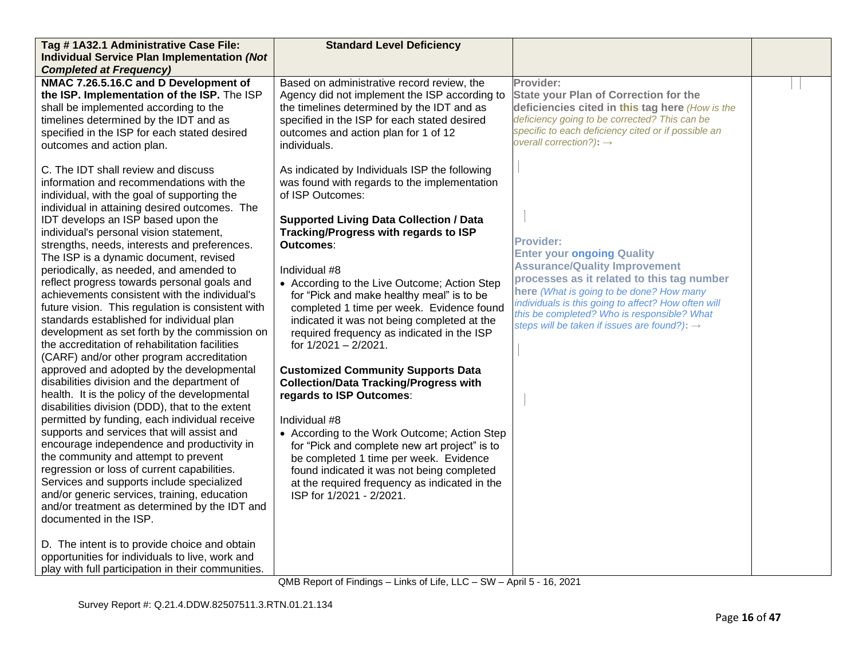| Tag #1A32.1 Administrative Case File:                                                                                                                                                                                                                                                                                                                                                                                                                                                                                                                                                                                                                                                                                                                                                                                                                                                                                                                                                                                                                                                                                                                                                                                                                                                                                                                                                                                                                                                                                         | <b>Standard Level Deficiency</b>                                                                                                                                                                                                                                                                                                                                                                                                                                                                                                                                                                                                                                                                                                                                                                                                                                                                                           |                                                                                                                                                                                                                                                                                                                                                           |  |
|-------------------------------------------------------------------------------------------------------------------------------------------------------------------------------------------------------------------------------------------------------------------------------------------------------------------------------------------------------------------------------------------------------------------------------------------------------------------------------------------------------------------------------------------------------------------------------------------------------------------------------------------------------------------------------------------------------------------------------------------------------------------------------------------------------------------------------------------------------------------------------------------------------------------------------------------------------------------------------------------------------------------------------------------------------------------------------------------------------------------------------------------------------------------------------------------------------------------------------------------------------------------------------------------------------------------------------------------------------------------------------------------------------------------------------------------------------------------------------------------------------------------------------|----------------------------------------------------------------------------------------------------------------------------------------------------------------------------------------------------------------------------------------------------------------------------------------------------------------------------------------------------------------------------------------------------------------------------------------------------------------------------------------------------------------------------------------------------------------------------------------------------------------------------------------------------------------------------------------------------------------------------------------------------------------------------------------------------------------------------------------------------------------------------------------------------------------------------|-----------------------------------------------------------------------------------------------------------------------------------------------------------------------------------------------------------------------------------------------------------------------------------------------------------------------------------------------------------|--|
| <b>Individual Service Plan Implementation (Not</b>                                                                                                                                                                                                                                                                                                                                                                                                                                                                                                                                                                                                                                                                                                                                                                                                                                                                                                                                                                                                                                                                                                                                                                                                                                                                                                                                                                                                                                                                            |                                                                                                                                                                                                                                                                                                                                                                                                                                                                                                                                                                                                                                                                                                                                                                                                                                                                                                                            |                                                                                                                                                                                                                                                                                                                                                           |  |
| <b>Completed at Frequency)</b>                                                                                                                                                                                                                                                                                                                                                                                                                                                                                                                                                                                                                                                                                                                                                                                                                                                                                                                                                                                                                                                                                                                                                                                                                                                                                                                                                                                                                                                                                                |                                                                                                                                                                                                                                                                                                                                                                                                                                                                                                                                                                                                                                                                                                                                                                                                                                                                                                                            |                                                                                                                                                                                                                                                                                                                                                           |  |
| NMAC 7.26.5.16.C and D Development of<br>the ISP. Implementation of the ISP. The ISP<br>shall be implemented according to the<br>timelines determined by the IDT and as<br>specified in the ISP for each stated desired<br>outcomes and action plan.                                                                                                                                                                                                                                                                                                                                                                                                                                                                                                                                                                                                                                                                                                                                                                                                                                                                                                                                                                                                                                                                                                                                                                                                                                                                          | Based on administrative record review, the<br>Agency did not implement the ISP according to<br>the timelines determined by the IDT and as<br>specified in the ISP for each stated desired<br>outcomes and action plan for 1 of 12<br>individuals.                                                                                                                                                                                                                                                                                                                                                                                                                                                                                                                                                                                                                                                                          | Provider:<br><b>State your Plan of Correction for the</b><br>deficiencies cited in this tag here (How is the<br>deficiency going to be corrected? This can be<br>specific to each deficiency cited or if possible an<br>overall correction?): $\rightarrow$                                                                                               |  |
| C. The IDT shall review and discuss<br>information and recommendations with the<br>individual, with the goal of supporting the<br>individual in attaining desired outcomes. The<br>IDT develops an ISP based upon the<br>individual's personal vision statement,<br>strengths, needs, interests and preferences.<br>The ISP is a dynamic document, revised<br>periodically, as needed, and amended to<br>reflect progress towards personal goals and<br>achievements consistent with the individual's<br>future vision. This regulation is consistent with<br>standards established for individual plan<br>development as set forth by the commission on<br>the accreditation of rehabilitation facilities<br>(CARF) and/or other program accreditation<br>approved and adopted by the developmental<br>disabilities division and the department of<br>health. It is the policy of the developmental<br>disabilities division (DDD), that to the extent<br>permitted by funding, each individual receive<br>supports and services that will assist and<br>encourage independence and productivity in<br>the community and attempt to prevent<br>regression or loss of current capabilities.<br>Services and supports include specialized<br>and/or generic services, training, education<br>and/or treatment as determined by the IDT and<br>documented in the ISP.<br>D. The intent is to provide choice and obtain<br>opportunities for individuals to live, work and<br>play with full participation in their communities. | As indicated by Individuals ISP the following<br>was found with regards to the implementation<br>of ISP Outcomes:<br><b>Supported Living Data Collection / Data</b><br>Tracking/Progress with regards to ISP<br>Outcomes:<br>Individual #8<br>• According to the Live Outcome; Action Step<br>for "Pick and make healthy meal" is to be<br>completed 1 time per week. Evidence found<br>indicated it was not being completed at the<br>required frequency as indicated in the ISP<br>for 1/2021 - 2/2021.<br><b>Customized Community Supports Data</b><br><b>Collection/Data Tracking/Progress with</b><br>regards to ISP Outcomes:<br>Individual #8<br>• According to the Work Outcome; Action Step<br>for "Pick and complete new art project" is to<br>be completed 1 time per week. Evidence<br>found indicated it was not being completed<br>at the required frequency as indicated in the<br>ISP for 1/2021 - 2/2021. | <b>Provider:</b><br><b>Enter your ongoing Quality</b><br><b>Assurance/Quality Improvement</b><br>processes as it related to this tag number<br>here (What is going to be done? How many<br>individuals is this going to affect? How often will<br>this be completed? Who is responsible? What<br>steps will be taken if issues are found?): $\rightarrow$ |  |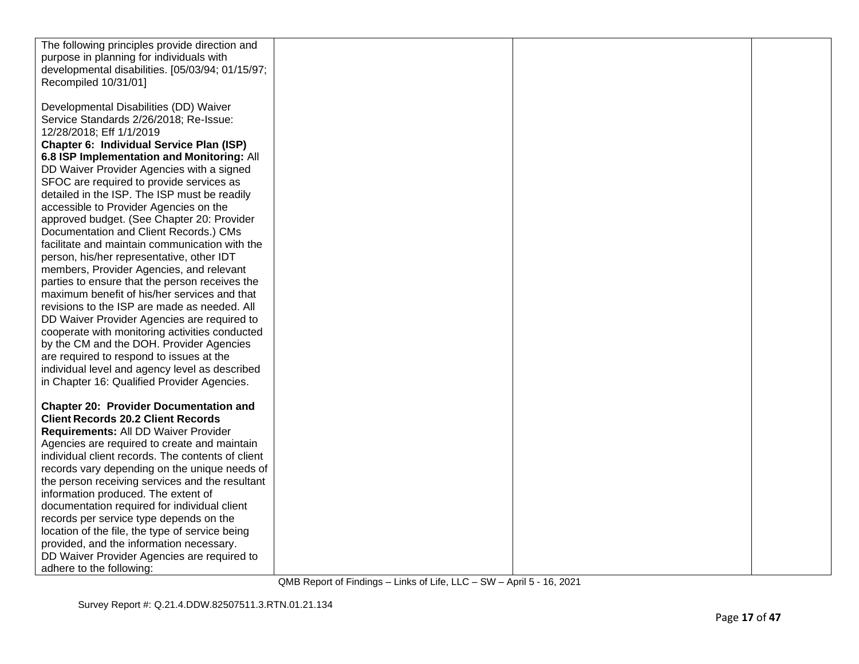| The following principles provide direction and    |  |  |
|---------------------------------------------------|--|--|
| purpose in planning for individuals with          |  |  |
| developmental disabilities. [05/03/94; 01/15/97;  |  |  |
| Recompiled 10/31/01]                              |  |  |
|                                                   |  |  |
| Developmental Disabilities (DD) Waiver            |  |  |
| Service Standards 2/26/2018; Re-Issue:            |  |  |
| 12/28/2018; Eff 1/1/2019                          |  |  |
| Chapter 6: Individual Service Plan (ISP)          |  |  |
|                                                   |  |  |
| 6.8 ISP Implementation and Monitoring: All        |  |  |
| DD Waiver Provider Agencies with a signed         |  |  |
| SFOC are required to provide services as          |  |  |
| detailed in the ISP. The ISP must be readily      |  |  |
| accessible to Provider Agencies on the            |  |  |
| approved budget. (See Chapter 20: Provider        |  |  |
| Documentation and Client Records.) CMs            |  |  |
| facilitate and maintain communication with the    |  |  |
| person, his/her representative, other IDT         |  |  |
| members, Provider Agencies, and relevant          |  |  |
| parties to ensure that the person receives the    |  |  |
| maximum benefit of his/her services and that      |  |  |
| revisions to the ISP are made as needed. All      |  |  |
| DD Waiver Provider Agencies are required to       |  |  |
| cooperate with monitoring activities conducted    |  |  |
| by the CM and the DOH. Provider Agencies          |  |  |
| are required to respond to issues at the          |  |  |
| individual level and agency level as described    |  |  |
| in Chapter 16: Qualified Provider Agencies.       |  |  |
|                                                   |  |  |
| <b>Chapter 20: Provider Documentation and</b>     |  |  |
| <b>Client Records 20.2 Client Records</b>         |  |  |
| Requirements: All DD Waiver Provider              |  |  |
| Agencies are required to create and maintain      |  |  |
| individual client records. The contents of client |  |  |
| records vary depending on the unique needs of     |  |  |
| the person receiving services and the resultant   |  |  |
| information produced. The extent of               |  |  |
| documentation required for individual client      |  |  |
| records per service type depends on the           |  |  |
| location of the file, the type of service being   |  |  |
| provided, and the information necessary.          |  |  |
| DD Waiver Provider Agencies are required to       |  |  |
| adhere to the following:                          |  |  |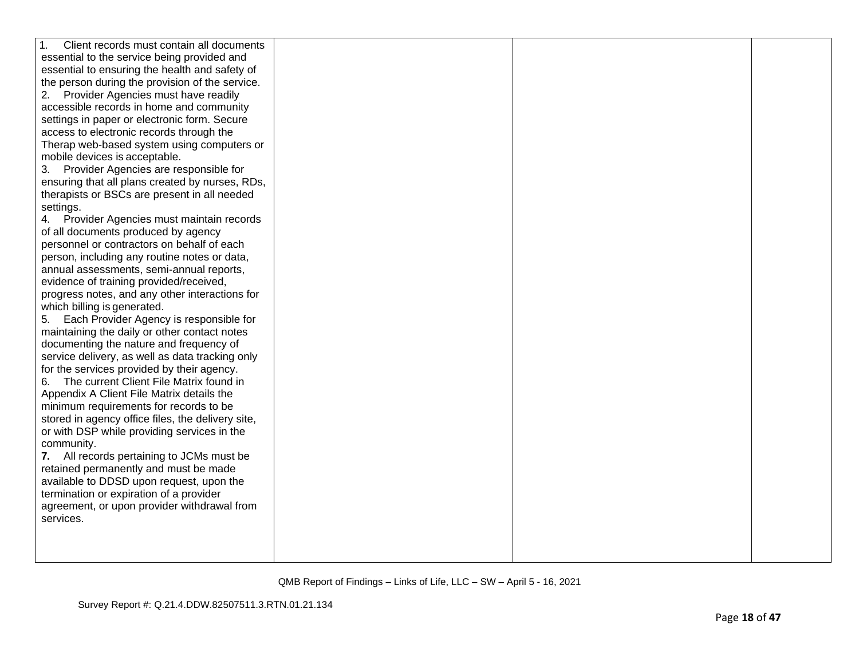| $\mathbf{1}$ .<br>Client records must contain all documents |  |  |
|-------------------------------------------------------------|--|--|
| essential to the service being provided and                 |  |  |
| essential to ensuring the health and safety of              |  |  |
| the person during the provision of the service.             |  |  |
| Provider Agencies must have readily<br>2.                   |  |  |
| accessible records in home and community                    |  |  |
| settings in paper or electronic form. Secure                |  |  |
| access to electronic records through the                    |  |  |
| Therap web-based system using computers or                  |  |  |
| mobile devices is acceptable.                               |  |  |
| Provider Agencies are responsible for<br>3.                 |  |  |
| ensuring that all plans created by nurses, RDs,             |  |  |
| therapists or BSCs are present in all needed                |  |  |
| settings.                                                   |  |  |
| Provider Agencies must maintain records<br>4.               |  |  |
| of all documents produced by agency                         |  |  |
| personnel or contractors on behalf of each                  |  |  |
| person, including any routine notes or data,                |  |  |
| annual assessments, semi-annual reports,                    |  |  |
| evidence of training provided/received,                     |  |  |
| progress notes, and any other interactions for              |  |  |
| which billing is generated.                                 |  |  |
| Each Provider Agency is responsible for<br>5.               |  |  |
| maintaining the daily or other contact notes                |  |  |
| documenting the nature and frequency of                     |  |  |
| service delivery, as well as data tracking only             |  |  |
| for the services provided by their agency.                  |  |  |
| The current Client File Matrix found in<br>6.               |  |  |
| Appendix A Client File Matrix details the                   |  |  |
| minimum requirements for records to be                      |  |  |
| stored in agency office files, the delivery site,           |  |  |
| or with DSP while providing services in the                 |  |  |
| community.                                                  |  |  |
| 7. All records pertaining to JCMs must be                   |  |  |
| retained permanently and must be made                       |  |  |
| available to DDSD upon request, upon the                    |  |  |
| termination or expiration of a provider                     |  |  |
| agreement, or upon provider withdrawal from                 |  |  |
| services.                                                   |  |  |
|                                                             |  |  |
|                                                             |  |  |
|                                                             |  |  |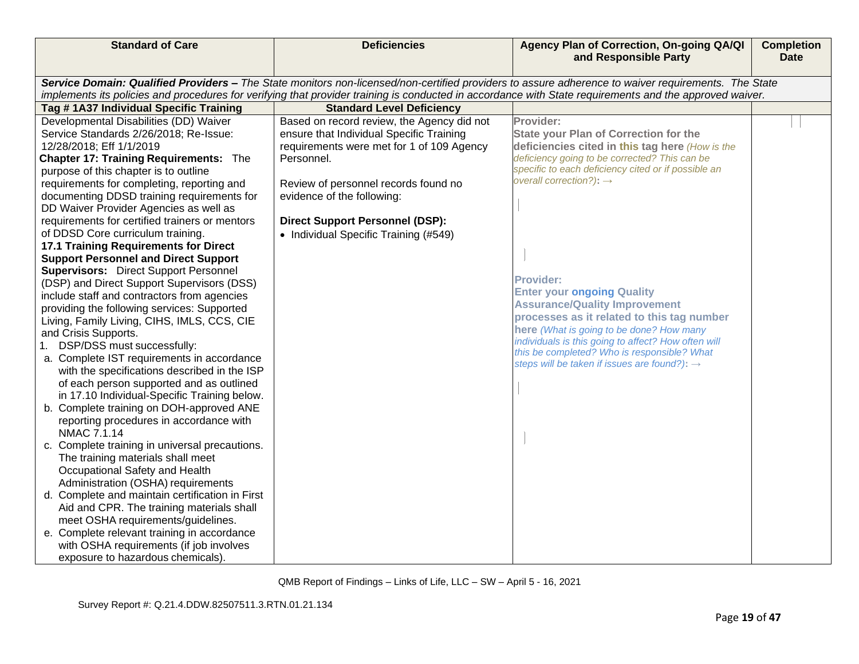| <b>Standard of Care</b>                                                                                                                                                                                                                                                                                                                                                                                                                                                                                                                                                                                                                                                                                                                                                                                                                                                                                                                                                                                                                                                                                                                                                                                                                                                                                                                                                                                                                                                                                                                                                         | <b>Deficiencies</b>                                                                                                                                                                                                                                                                                                                            | Agency Plan of Correction, On-going QA/QI<br>and Responsible Party                                                                                                                                                                                                                                                                                                                                                                                                                                                                                                                                                       | <b>Completion</b><br>Date |
|---------------------------------------------------------------------------------------------------------------------------------------------------------------------------------------------------------------------------------------------------------------------------------------------------------------------------------------------------------------------------------------------------------------------------------------------------------------------------------------------------------------------------------------------------------------------------------------------------------------------------------------------------------------------------------------------------------------------------------------------------------------------------------------------------------------------------------------------------------------------------------------------------------------------------------------------------------------------------------------------------------------------------------------------------------------------------------------------------------------------------------------------------------------------------------------------------------------------------------------------------------------------------------------------------------------------------------------------------------------------------------------------------------------------------------------------------------------------------------------------------------------------------------------------------------------------------------|------------------------------------------------------------------------------------------------------------------------------------------------------------------------------------------------------------------------------------------------------------------------------------------------------------------------------------------------|--------------------------------------------------------------------------------------------------------------------------------------------------------------------------------------------------------------------------------------------------------------------------------------------------------------------------------------------------------------------------------------------------------------------------------------------------------------------------------------------------------------------------------------------------------------------------------------------------------------------------|---------------------------|
|                                                                                                                                                                                                                                                                                                                                                                                                                                                                                                                                                                                                                                                                                                                                                                                                                                                                                                                                                                                                                                                                                                                                                                                                                                                                                                                                                                                                                                                                                                                                                                                 |                                                                                                                                                                                                                                                                                                                                                |                                                                                                                                                                                                                                                                                                                                                                                                                                                                                                                                                                                                                          |                           |
|                                                                                                                                                                                                                                                                                                                                                                                                                                                                                                                                                                                                                                                                                                                                                                                                                                                                                                                                                                                                                                                                                                                                                                                                                                                                                                                                                                                                                                                                                                                                                                                 |                                                                                                                                                                                                                                                                                                                                                | Service Domain: Qualified Providers - The State monitors non-licensed/non-certified providers to assure adherence to waiver requirements. The State<br>implements its policies and procedures for verifying that provider training is conducted in accordance with State requirements and the approved waiver.                                                                                                                                                                                                                                                                                                           |                           |
|                                                                                                                                                                                                                                                                                                                                                                                                                                                                                                                                                                                                                                                                                                                                                                                                                                                                                                                                                                                                                                                                                                                                                                                                                                                                                                                                                                                                                                                                                                                                                                                 |                                                                                                                                                                                                                                                                                                                                                |                                                                                                                                                                                                                                                                                                                                                                                                                                                                                                                                                                                                                          |                           |
| Tag #1A37 Individual Specific Training<br>Developmental Disabilities (DD) Waiver<br>Service Standards 2/26/2018; Re-Issue:<br>12/28/2018; Eff 1/1/2019<br><b>Chapter 17: Training Requirements: The</b><br>purpose of this chapter is to outline<br>requirements for completing, reporting and<br>documenting DDSD training requirements for<br>DD Waiver Provider Agencies as well as<br>requirements for certified trainers or mentors<br>of DDSD Core curriculum training.<br><b>17.1 Training Requirements for Direct</b><br><b>Support Personnel and Direct Support</b><br><b>Supervisors:</b> Direct Support Personnel<br>(DSP) and Direct Support Supervisors (DSS)<br>include staff and contractors from agencies<br>providing the following services: Supported<br>Living, Family Living, CIHS, IMLS, CCS, CIE<br>and Crisis Supports.<br>1. DSP/DSS must successfully:<br>a. Complete IST requirements in accordance<br>with the specifications described in the ISP<br>of each person supported and as outlined<br>in 17.10 Individual-Specific Training below.<br>b. Complete training on DOH-approved ANE<br>reporting procedures in accordance with<br>NMAC 7.1.14<br>c. Complete training in universal precautions.<br>The training materials shall meet<br>Occupational Safety and Health<br>Administration (OSHA) requirements<br>d. Complete and maintain certification in First<br>Aid and CPR. The training materials shall<br>meet OSHA requirements/guidelines.<br>e. Complete relevant training in accordance<br>with OSHA requirements (if job involves | <b>Standard Level Deficiency</b><br>Based on record review, the Agency did not<br>ensure that Individual Specific Training<br>requirements were met for 1 of 109 Agency<br>Personnel.<br>Review of personnel records found no<br>evidence of the following:<br><b>Direct Support Personnel (DSP):</b><br>• Individual Specific Training (#549) | Provider:<br><b>State your Plan of Correction for the</b><br>deficiencies cited in this tag here (How is the<br>deficiency going to be corrected? This can be<br>specific to each deficiency cited or if possible an<br>overall correction?): $\rightarrow$<br><b>Provider:</b><br><b>Enter your ongoing Quality</b><br><b>Assurance/Quality Improvement</b><br>processes as it related to this tag number<br>here (What is going to be done? How many<br>individuals is this going to affect? How often will<br>this be completed? Who is responsible? What<br>steps will be taken if issues are found?): $\rightarrow$ |                           |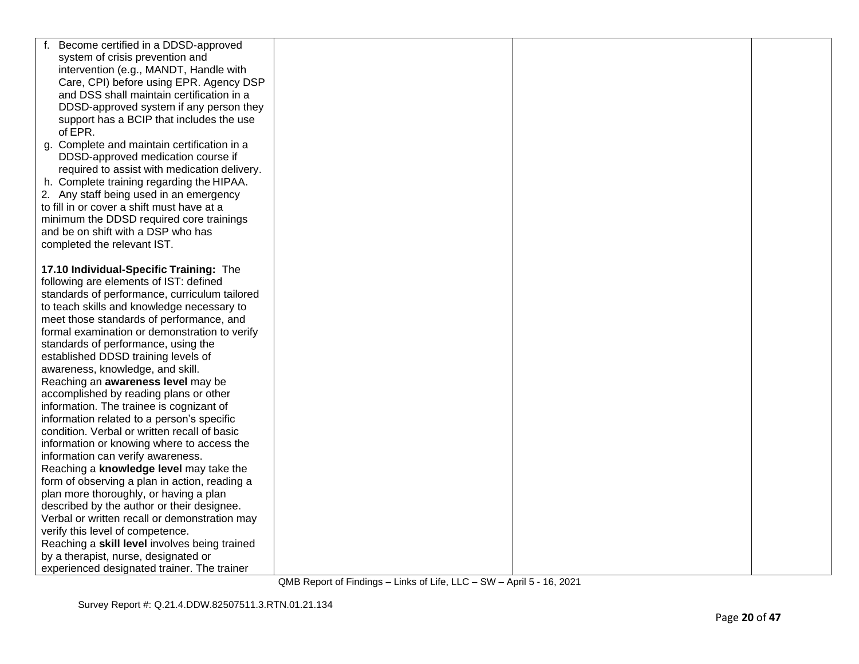| Become certified in a DDSD-approved           |  |  |
|-----------------------------------------------|--|--|
| system of crisis prevention and               |  |  |
| intervention (e.g., MANDT, Handle with        |  |  |
| Care, CPI) before using EPR. Agency DSP       |  |  |
| and DSS shall maintain certification in a     |  |  |
| DDSD-approved system if any person they       |  |  |
| support has a BCIP that includes the use      |  |  |
| of EPR.                                       |  |  |
| g. Complete and maintain certification in a   |  |  |
| DDSD-approved medication course if            |  |  |
| required to assist with medication delivery.  |  |  |
| h. Complete training regarding the HIPAA.     |  |  |
| 2. Any staff being used in an emergency       |  |  |
| to fill in or cover a shift must have at a    |  |  |
| minimum the DDSD required core trainings      |  |  |
| and be on shift with a DSP who has            |  |  |
| completed the relevant IST.                   |  |  |
|                                               |  |  |
| 17.10 Individual-Specific Training: The       |  |  |
| following are elements of IST: defined        |  |  |
| standards of performance, curriculum tailored |  |  |
| to teach skills and knowledge necessary to    |  |  |
| meet those standards of performance, and      |  |  |
| formal examination or demonstration to verify |  |  |
| standards of performance, using the           |  |  |
| established DDSD training levels of           |  |  |
| awareness, knowledge, and skill.              |  |  |
| Reaching an awareness level may be            |  |  |
| accomplished by reading plans or other        |  |  |
| information. The trainee is cognizant of      |  |  |
| information related to a person's specific    |  |  |
| condition. Verbal or written recall of basic  |  |  |
| information or knowing where to access the    |  |  |
| information can verify awareness.             |  |  |
| Reaching a knowledge level may take the       |  |  |
| form of observing a plan in action, reading a |  |  |
| plan more thoroughly, or having a plan        |  |  |
| described by the author or their designee.    |  |  |
| Verbal or written recall or demonstration may |  |  |
| verify this level of competence.              |  |  |
| Reaching a skill level involves being trained |  |  |
| by a therapist, nurse, designated or          |  |  |
| experienced designated trainer. The trainer   |  |  |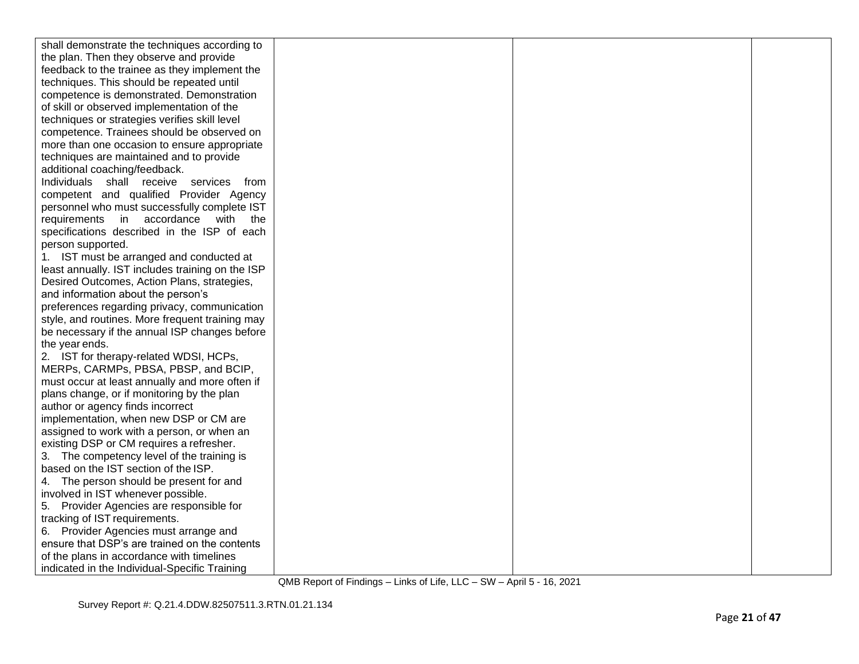| shall demonstrate the techniques according to    |  |  |
|--------------------------------------------------|--|--|
| the plan. Then they observe and provide          |  |  |
| feedback to the trainee as they implement the    |  |  |
| techniques. This should be repeated until        |  |  |
| competence is demonstrated. Demonstration        |  |  |
| of skill or observed implementation of the       |  |  |
| techniques or strategies verifies skill level    |  |  |
| competence. Trainees should be observed on       |  |  |
| more than one occasion to ensure appropriate     |  |  |
| techniques are maintained and to provide         |  |  |
| additional coaching/feedback.                    |  |  |
| Individuals shall receive services<br>from       |  |  |
| competent and qualified Provider Agency          |  |  |
| personnel who must successfully complete IST     |  |  |
| requirements in accordance<br>with the           |  |  |
| specifications described in the ISP of each      |  |  |
| person supported.                                |  |  |
| 1. IST must be arranged and conducted at         |  |  |
| least annually. IST includes training on the ISP |  |  |
| Desired Outcomes, Action Plans, strategies,      |  |  |
| and information about the person's               |  |  |
| preferences regarding privacy, communication     |  |  |
| style, and routines. More frequent training may  |  |  |
| be necessary if the annual ISP changes before    |  |  |
| the year ends.                                   |  |  |
| 2. IST for therapy-related WDSI, HCPs,           |  |  |
| MERPs, CARMPs, PBSA, PBSP, and BCIP,             |  |  |
| must occur at least annually and more often if   |  |  |
| plans change, or if monitoring by the plan       |  |  |
| author or agency finds incorrect                 |  |  |
| implementation, when new DSP or CM are           |  |  |
| assigned to work with a person, or when an       |  |  |
| existing DSP or CM requires a refresher.         |  |  |
| 3. The competency level of the training is       |  |  |
| based on the IST section of the ISP.             |  |  |
| 4. The person should be present for and          |  |  |
| involved in IST whenever possible.               |  |  |
| 5. Provider Agencies are responsible for         |  |  |
| tracking of IST requirements.                    |  |  |
| 6. Provider Agencies must arrange and            |  |  |
| ensure that DSP's are trained on the contents    |  |  |
| of the plans in accordance with timelines        |  |  |
| indicated in the Individual-Specific Training    |  |  |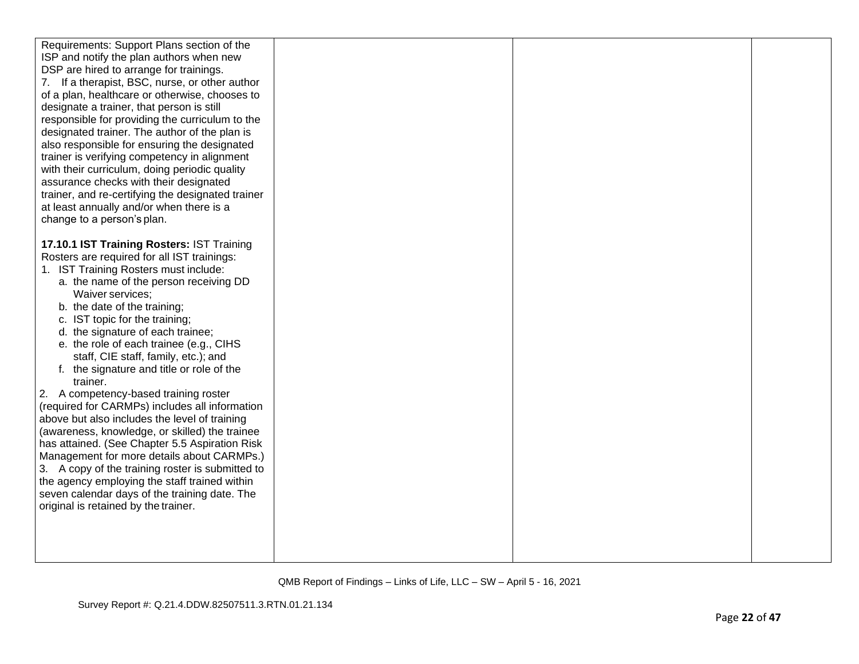| Requirements: Support Plans section of the<br>ISP and notify the plan authors when new<br>DSP are hired to arrange for trainings.<br>If a therapist, BSC, nurse, or other author<br>7.<br>of a plan, healthcare or otherwise, chooses to<br>designate a trainer, that person is still<br>responsible for providing the curriculum to the<br>designated trainer. The author of the plan is<br>also responsible for ensuring the designated                                                |  |  |
|------------------------------------------------------------------------------------------------------------------------------------------------------------------------------------------------------------------------------------------------------------------------------------------------------------------------------------------------------------------------------------------------------------------------------------------------------------------------------------------|--|--|
| trainer is verifying competency in alignment<br>with their curriculum, doing periodic quality<br>assurance checks with their designated<br>trainer, and re-certifying the designated trainer<br>at least annually and/or when there is a<br>change to a person's plan.                                                                                                                                                                                                                   |  |  |
| 17.10.1 IST Training Rosters: IST Training<br>Rosters are required for all IST trainings:<br>1. IST Training Rosters must include:<br>a. the name of the person receiving DD<br>Waiver services;<br>b. the date of the training;<br>c. IST topic for the training;<br>d. the signature of each trainee;<br>e. the role of each trainee (e.g., CIHS<br>staff, CIE staff, family, etc.); and<br>f. the signature and title or role of the<br>trainer.                                      |  |  |
| 2. A competency-based training roster<br>(required for CARMPs) includes all information<br>above but also includes the level of training<br>(awareness, knowledge, or skilled) the trainee<br>has attained. (See Chapter 5.5 Aspiration Risk<br>Management for more details about CARMPs.)<br>3. A copy of the training roster is submitted to<br>the agency employing the staff trained within<br>seven calendar days of the training date. The<br>original is retained by the trainer. |  |  |
|                                                                                                                                                                                                                                                                                                                                                                                                                                                                                          |  |  |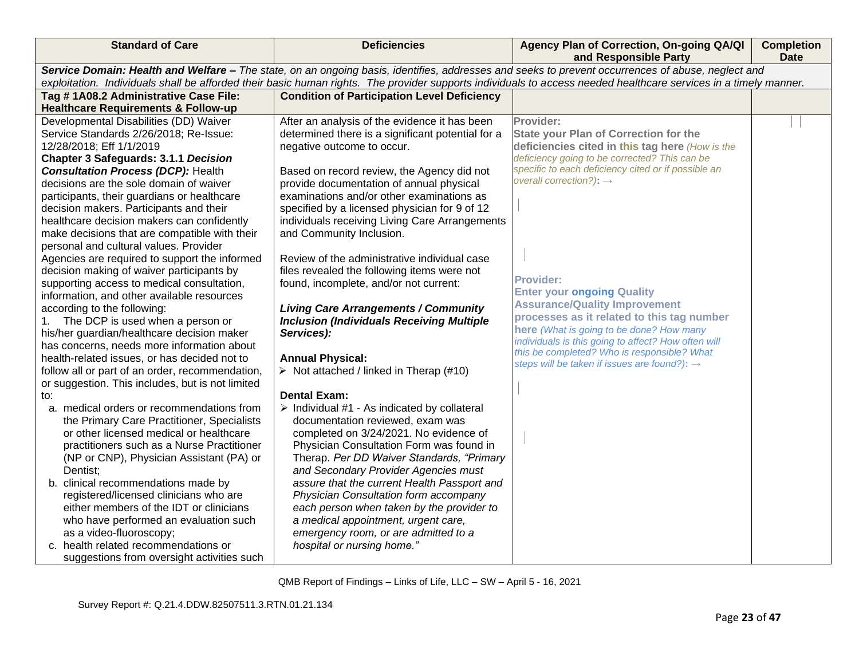| <b>Standard of Care</b>                                                                                                                                                                                                                                                                                               | <b>Deficiencies</b>                                                                             | Agency Plan of Correction, On-going QA/QI<br>and Responsible Party | <b>Completion</b><br><b>Date</b> |  |
|-----------------------------------------------------------------------------------------------------------------------------------------------------------------------------------------------------------------------------------------------------------------------------------------------------------------------|-------------------------------------------------------------------------------------------------|--------------------------------------------------------------------|----------------------------------|--|
| Service Domain: Health and Welfare - The state, on an ongoing basis, identifies, addresses and seeks to prevent occurrences of abuse, neglect and<br>exploitation. Individuals shall be afforded their basic human rights. The provider supports individuals to access needed healthcare services in a timely manner. |                                                                                                 |                                                                    |                                  |  |
| Tag #1A08.2 Administrative Case File:                                                                                                                                                                                                                                                                                 | <b>Condition of Participation Level Deficiency</b>                                              |                                                                    |                                  |  |
| <b>Healthcare Requirements &amp; Follow-up</b>                                                                                                                                                                                                                                                                        |                                                                                                 |                                                                    |                                  |  |
| Developmental Disabilities (DD) Waiver                                                                                                                                                                                                                                                                                | After an analysis of the evidence it has been                                                   | Provider:                                                          |                                  |  |
| Service Standards 2/26/2018; Re-Issue:                                                                                                                                                                                                                                                                                | determined there is a significant potential for a                                               | <b>State your Plan of Correction for the</b>                       |                                  |  |
| 12/28/2018; Eff 1/1/2019                                                                                                                                                                                                                                                                                              | negative outcome to occur.                                                                      | deficiencies cited in this tag here (How is the                    |                                  |  |
| <b>Chapter 3 Safeguards: 3.1.1 Decision</b>                                                                                                                                                                                                                                                                           |                                                                                                 | deficiency going to be corrected? This can be                      |                                  |  |
| <b>Consultation Process (DCP): Health</b>                                                                                                                                                                                                                                                                             | Based on record review, the Agency did not                                                      | specific to each deficiency cited or if possible an                |                                  |  |
| decisions are the sole domain of waiver                                                                                                                                                                                                                                                                               | provide documentation of annual physical                                                        | overall correction?): $\rightarrow$                                |                                  |  |
| participants, their guardians or healthcare                                                                                                                                                                                                                                                                           | examinations and/or other examinations as                                                       |                                                                    |                                  |  |
| decision makers. Participants and their                                                                                                                                                                                                                                                                               | specified by a licensed physician for 9 of 12                                                   |                                                                    |                                  |  |
| healthcare decision makers can confidently                                                                                                                                                                                                                                                                            | individuals receiving Living Care Arrangements                                                  |                                                                    |                                  |  |
| make decisions that are compatible with their                                                                                                                                                                                                                                                                         | and Community Inclusion.                                                                        |                                                                    |                                  |  |
| personal and cultural values. Provider                                                                                                                                                                                                                                                                                |                                                                                                 |                                                                    |                                  |  |
| Agencies are required to support the informed                                                                                                                                                                                                                                                                         | Review of the administrative individual case                                                    |                                                                    |                                  |  |
| decision making of waiver participants by                                                                                                                                                                                                                                                                             | files revealed the following items were not                                                     | <b>Provider:</b>                                                   |                                  |  |
| supporting access to medical consultation,                                                                                                                                                                                                                                                                            | found, incomplete, and/or not current:                                                          | <b>Enter your ongoing Quality</b>                                  |                                  |  |
| information, and other available resources                                                                                                                                                                                                                                                                            |                                                                                                 | <b>Assurance/Quality Improvement</b>                               |                                  |  |
| according to the following:                                                                                                                                                                                                                                                                                           | <b>Living Care Arrangements / Community</b><br><b>Inclusion (Individuals Receiving Multiple</b> | processes as it related to this tag number                         |                                  |  |
| The DCP is used when a person or<br>1.<br>his/her guardian/healthcare decision maker                                                                                                                                                                                                                                  | Services):                                                                                      | here (What is going to be done? How many                           |                                  |  |
| has concerns, needs more information about                                                                                                                                                                                                                                                                            |                                                                                                 | individuals is this going to affect? How often will                |                                  |  |
| health-related issues, or has decided not to                                                                                                                                                                                                                                                                          | <b>Annual Physical:</b>                                                                         | this be completed? Who is responsible? What                        |                                  |  |
| follow all or part of an order, recommendation,                                                                                                                                                                                                                                                                       | $\triangleright$ Not attached / linked in Therap (#10)                                          | steps will be taken if issues are found?): $\rightarrow$           |                                  |  |
| or suggestion. This includes, but is not limited                                                                                                                                                                                                                                                                      |                                                                                                 |                                                                    |                                  |  |
| to:                                                                                                                                                                                                                                                                                                                   | <b>Dental Exam:</b>                                                                             |                                                                    |                                  |  |
| a. medical orders or recommendations from                                                                                                                                                                                                                                                                             | > Individual #1 - As indicated by collateral                                                    |                                                                    |                                  |  |
| the Primary Care Practitioner, Specialists                                                                                                                                                                                                                                                                            | documentation reviewed, exam was                                                                |                                                                    |                                  |  |
| or other licensed medical or healthcare                                                                                                                                                                                                                                                                               | completed on 3/24/2021. No evidence of                                                          |                                                                    |                                  |  |
| practitioners such as a Nurse Practitioner                                                                                                                                                                                                                                                                            | Physician Consultation Form was found in                                                        |                                                                    |                                  |  |
| (NP or CNP), Physician Assistant (PA) or                                                                                                                                                                                                                                                                              | Therap. Per DD Waiver Standards, "Primary                                                       |                                                                    |                                  |  |
| Dentist;                                                                                                                                                                                                                                                                                                              | and Secondary Provider Agencies must                                                            |                                                                    |                                  |  |
| b. clinical recommendations made by                                                                                                                                                                                                                                                                                   | assure that the current Health Passport and                                                     |                                                                    |                                  |  |
| registered/licensed clinicians who are                                                                                                                                                                                                                                                                                | Physician Consultation form accompany                                                           |                                                                    |                                  |  |
| either members of the IDT or clinicians                                                                                                                                                                                                                                                                               | each person when taken by the provider to                                                       |                                                                    |                                  |  |
| who have performed an evaluation such                                                                                                                                                                                                                                                                                 | a medical appointment, urgent care,                                                             |                                                                    |                                  |  |
| as a video-fluoroscopy;                                                                                                                                                                                                                                                                                               | emergency room, or are admitted to a                                                            |                                                                    |                                  |  |
| c. health related recommendations or                                                                                                                                                                                                                                                                                  | hospital or nursing home."                                                                      |                                                                    |                                  |  |
| suggestions from oversight activities such                                                                                                                                                                                                                                                                            |                                                                                                 |                                                                    |                                  |  |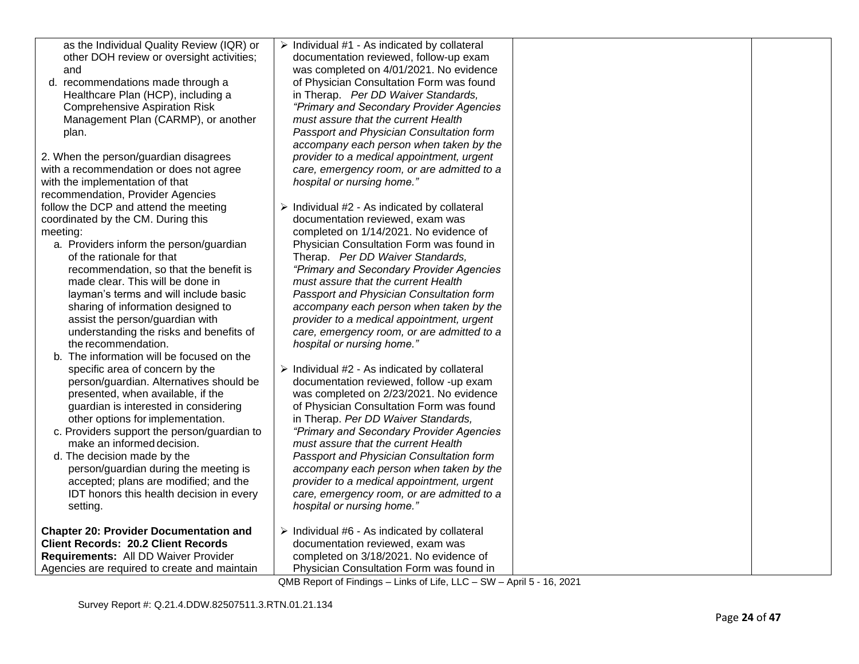| as the Individual Quality Review (IQR) or<br>other DOH review or oversight activities;<br>and<br>d. recommendations made through a<br>Healthcare Plan (HCP), including a<br><b>Comprehensive Aspiration Risk</b><br>Management Plan (CARMP), or another<br>plan.<br>2. When the person/guardian disagrees<br>with a recommendation or does not agree<br>with the implementation of that<br>recommendation, Provider Agencies<br>follow the DCP and attend the meeting<br>coordinated by the CM. During this<br>meeting:<br>a. Providers inform the person/guardian<br>of the rationale for that<br>recommendation, so that the benefit is<br>made clear. This will be done in<br>layman's terms and will include basic<br>sharing of information designed to<br>assist the person/guardian with<br>understanding the risks and benefits of<br>the recommendation.<br>b. The information will be focused on the<br>specific area of concern by the<br>person/guardian. Alternatives should be<br>presented, when available, if the<br>guardian is interested in considering<br>other options for implementation.<br>c. Providers support the person/guardian to<br>make an informed decision.<br>d. The decision made by the<br>person/guardian during the meeting is<br>accepted; plans are modified; and the<br>IDT honors this health decision in every<br>setting. | $\triangleright$ Individual #1 - As indicated by collateral<br>documentation reviewed, follow-up exam<br>was completed on 4/01/2021. No evidence<br>of Physician Consultation Form was found<br>in Therap. Per DD Waiver Standards,<br>"Primary and Secondary Provider Agencies<br>must assure that the current Health<br>Passport and Physician Consultation form<br>accompany each person when taken by the<br>provider to a medical appointment, urgent<br>care, emergency room, or are admitted to a<br>hospital or nursing home."<br>$\triangleright$ Individual #2 - As indicated by collateral<br>documentation reviewed, exam was<br>completed on 1/14/2021. No evidence of<br>Physician Consultation Form was found in<br>Therap. Per DD Waiver Standards,<br>"Primary and Secondary Provider Agencies<br>must assure that the current Health<br>Passport and Physician Consultation form<br>accompany each person when taken by the<br>provider to a medical appointment, urgent<br>care, emergency room, or are admitted to a<br>hospital or nursing home."<br>$\triangleright$ Individual #2 - As indicated by collateral<br>documentation reviewed, follow -up exam<br>was completed on 2/23/2021. No evidence<br>of Physician Consultation Form was found<br>in Therap. Per DD Waiver Standards,<br>"Primary and Secondary Provider Agencies<br>must assure that the current Health<br>Passport and Physician Consultation form<br>accompany each person when taken by the<br>provider to a medical appointment, urgent<br>care, emergency room, or are admitted to a<br>hospital or nursing home." |  |
|-----------------------------------------------------------------------------------------------------------------------------------------------------------------------------------------------------------------------------------------------------------------------------------------------------------------------------------------------------------------------------------------------------------------------------------------------------------------------------------------------------------------------------------------------------------------------------------------------------------------------------------------------------------------------------------------------------------------------------------------------------------------------------------------------------------------------------------------------------------------------------------------------------------------------------------------------------------------------------------------------------------------------------------------------------------------------------------------------------------------------------------------------------------------------------------------------------------------------------------------------------------------------------------------------------------------------------------------------------------------------|-------------------------------------------------------------------------------------------------------------------------------------------------------------------------------------------------------------------------------------------------------------------------------------------------------------------------------------------------------------------------------------------------------------------------------------------------------------------------------------------------------------------------------------------------------------------------------------------------------------------------------------------------------------------------------------------------------------------------------------------------------------------------------------------------------------------------------------------------------------------------------------------------------------------------------------------------------------------------------------------------------------------------------------------------------------------------------------------------------------------------------------------------------------------------------------------------------------------------------------------------------------------------------------------------------------------------------------------------------------------------------------------------------------------------------------------------------------------------------------------------------------------------------------------------------------------------------------------------------------------|--|
| <b>Chapter 20: Provider Documentation and</b><br><b>Client Records: 20.2 Client Records</b><br>Requirements: All DD Waiver Provider<br>Agencies are required to create and maintain                                                                                                                                                                                                                                                                                                                                                                                                                                                                                                                                                                                                                                                                                                                                                                                                                                                                                                                                                                                                                                                                                                                                                                                   | $\triangleright$ Individual #6 - As indicated by collateral<br>documentation reviewed, exam was<br>completed on 3/18/2021. No evidence of<br>Physician Consultation Form was found in                                                                                                                                                                                                                                                                                                                                                                                                                                                                                                                                                                                                                                                                                                                                                                                                                                                                                                                                                                                                                                                                                                                                                                                                                                                                                                                                                                                                                             |  |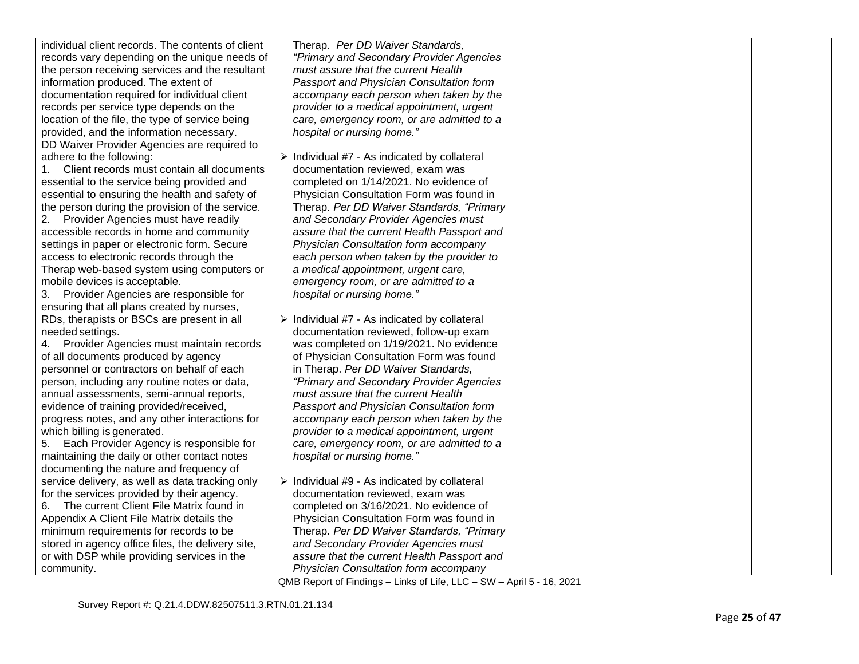| individual client records. The contents of client | Therap. Per DD Waiver Standards,                                                                                      |  |
|---------------------------------------------------|-----------------------------------------------------------------------------------------------------------------------|--|
| records vary depending on the unique needs of     | "Primary and Secondary Provider Agencies                                                                              |  |
| the person receiving services and the resultant   | must assure that the current Health                                                                                   |  |
| information produced. The extent of               | Passport and Physician Consultation form                                                                              |  |
| documentation required for individual client      | accompany each person when taken by the                                                                               |  |
| records per service type depends on the           | provider to a medical appointment, urgent                                                                             |  |
| location of the file, the type of service being   | care, emergency room, or are admitted to a                                                                            |  |
| provided, and the information necessary.          | hospital or nursing home."                                                                                            |  |
| DD Waiver Provider Agencies are required to       |                                                                                                                       |  |
| adhere to the following:                          | $\triangleright$ Individual #7 - As indicated by collateral                                                           |  |
| Client records must contain all documents<br>1.   | documentation reviewed, exam was                                                                                      |  |
| essential to the service being provided and       | completed on 1/14/2021. No evidence of                                                                                |  |
| essential to ensuring the health and safety of    | Physician Consultation Form was found in                                                                              |  |
| the person during the provision of the service.   | Therap. Per DD Waiver Standards, "Primary                                                                             |  |
| 2. Provider Agencies must have readily            | and Secondary Provider Agencies must                                                                                  |  |
| accessible records in home and community          | assure that the current Health Passport and                                                                           |  |
| settings in paper or electronic form. Secure      | Physician Consultation form accompany                                                                                 |  |
| access to electronic records through the          | each person when taken by the provider to                                                                             |  |
| Therap web-based system using computers or        | a medical appointment, urgent care,                                                                                   |  |
| mobile devices is acceptable.                     | emergency room, or are admitted to a                                                                                  |  |
| 3. Provider Agencies are responsible for          | hospital or nursing home."                                                                                            |  |
|                                                   |                                                                                                                       |  |
| ensuring that all plans created by nurses,        |                                                                                                                       |  |
| RDs, therapists or BSCs are present in all        | $\triangleright$ Individual #7 - As indicated by collateral                                                           |  |
| needed settings.                                  | documentation reviewed, follow-up exam                                                                                |  |
| 4. Provider Agencies must maintain records        | was completed on 1/19/2021. No evidence                                                                               |  |
| of all documents produced by agency               | of Physician Consultation Form was found                                                                              |  |
| personnel or contractors on behalf of each        | in Therap. Per DD Waiver Standards,                                                                                   |  |
| person, including any routine notes or data,      | "Primary and Secondary Provider Agencies                                                                              |  |
| annual assessments, semi-annual reports,          | must assure that the current Health                                                                                   |  |
| evidence of training provided/received,           | Passport and Physician Consultation form                                                                              |  |
| progress notes, and any other interactions for    | accompany each person when taken by the                                                                               |  |
| which billing is generated.                       | provider to a medical appointment, urgent                                                                             |  |
| Each Provider Agency is responsible for<br>5.     | care, emergency room, or are admitted to a                                                                            |  |
| maintaining the daily or other contact notes      | hospital or nursing home."                                                                                            |  |
| documenting the nature and frequency of           |                                                                                                                       |  |
| service delivery, as well as data tracking only   | $\triangleright$ Individual #9 - As indicated by collateral                                                           |  |
| for the services provided by their agency.        | documentation reviewed, exam was                                                                                      |  |
| 6. The current Client File Matrix found in        | completed on 3/16/2021. No evidence of                                                                                |  |
| Appendix A Client File Matrix details the         | Physician Consultation Form was found in                                                                              |  |
| minimum requirements for records to be            | Therap. Per DD Waiver Standards, "Primary                                                                             |  |
| stored in agency office files, the delivery site, | and Secondary Provider Agencies must                                                                                  |  |
| or with DSP while providing services in the       | assure that the current Health Passport and                                                                           |  |
| community.                                        | Physician Consultation form accompany                                                                                 |  |
|                                                   | $OMD$ Depart of Findings $L = \frac{1}{2}$ is $I = \frac{1}{2}$ $I = \frac{1}{2}$ $I = \frac{1}{2}$ $I = \frac{1}{2}$ |  |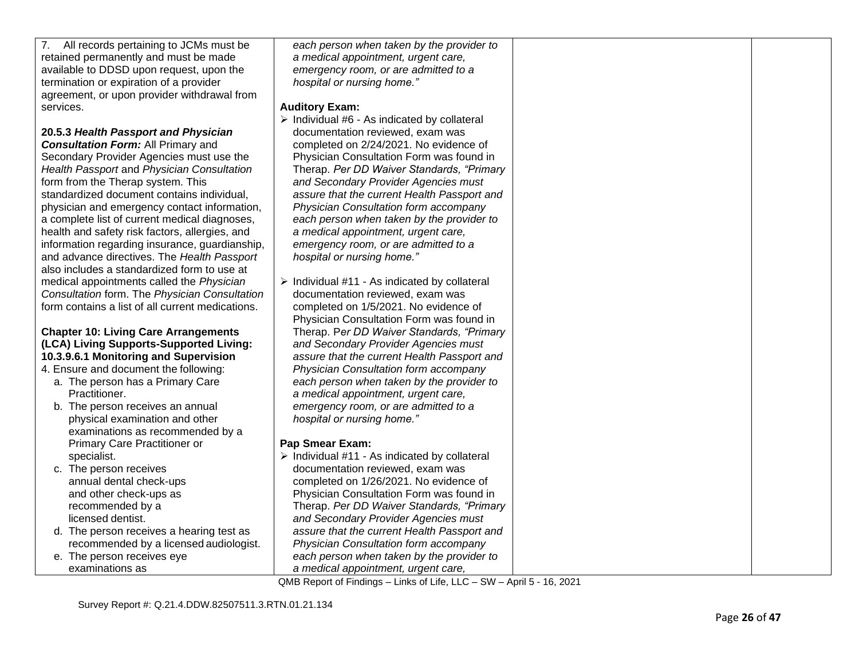| 7. All records pertaining to JCMs must be        | each person when taken by the provider to                    |  |
|--------------------------------------------------|--------------------------------------------------------------|--|
| retained permanently and must be made            | a medical appointment, urgent care,                          |  |
| available to DDSD upon request, upon the         | emergency room, or are admitted to a                         |  |
| termination or expiration of a provider          | hospital or nursing home."                                   |  |
| agreement, or upon provider withdrawal from      |                                                              |  |
| services.                                        | <b>Auditory Exam:</b>                                        |  |
|                                                  | > Individual #6 - As indicated by collateral                 |  |
| 20.5.3 Health Passport and Physician             | documentation reviewed, exam was                             |  |
| <b>Consultation Form: All Primary and</b>        | completed on 2/24/2021. No evidence of                       |  |
| Secondary Provider Agencies must use the         | Physician Consultation Form was found in                     |  |
| Health Passport and Physician Consultation       | Therap. Per DD Waiver Standards, "Primary                    |  |
| form from the Therap system. This                | and Secondary Provider Agencies must                         |  |
| standardized document contains individual,       | assure that the current Health Passport and                  |  |
| physician and emergency contact information,     | Physician Consultation form accompany                        |  |
| a complete list of current medical diagnoses,    | each person when taken by the provider to                    |  |
| health and safety risk factors, allergies, and   | a medical appointment, urgent care,                          |  |
| information regarding insurance, guardianship,   | emergency room, or are admitted to a                         |  |
| and advance directives. The Health Passport      | hospital or nursing home."                                   |  |
| also includes a standardized form to use at      |                                                              |  |
| medical appointments called the Physician        | $\triangleright$ Individual #11 - As indicated by collateral |  |
| Consultation form. The Physician Consultation    | documentation reviewed, exam was                             |  |
| form contains a list of all current medications. | completed on 1/5/2021. No evidence of                        |  |
|                                                  | Physician Consultation Form was found in                     |  |
| <b>Chapter 10: Living Care Arrangements</b>      | Therap. Per DD Waiver Standards, "Primary                    |  |
| (LCA) Living Supports-Supported Living:          | and Secondary Provider Agencies must                         |  |
| 10.3.9.6.1 Monitoring and Supervision            | assure that the current Health Passport and                  |  |
| 4. Ensure and document the following:            | Physician Consultation form accompany                        |  |
| a. The person has a Primary Care                 | each person when taken by the provider to                    |  |
| Practitioner.                                    | a medical appointment, urgent care,                          |  |
| b. The person receives an annual                 | emergency room, or are admitted to a                         |  |
| physical examination and other                   | hospital or nursing home."                                   |  |
| examinations as recommended by a                 |                                                              |  |
| Primary Care Practitioner or                     | <b>Pap Smear Exam:</b>                                       |  |
| specialist.                                      | $\triangleright$ Individual #11 - As indicated by collateral |  |
| c. The person receives                           | documentation reviewed, exam was                             |  |
| annual dental check-ups                          | completed on 1/26/2021. No evidence of                       |  |
| and other check-ups as                           | Physician Consultation Form was found in                     |  |
| recommended by a                                 | Therap. Per DD Waiver Standards, "Primary                    |  |
| licensed dentist.                                | and Secondary Provider Agencies must                         |  |
| d. The person receives a hearing test as         | assure that the current Health Passport and                  |  |
| recommended by a licensed audiologist.           | Physician Consultation form accompany                        |  |
| e. The person receives eye                       | each person when taken by the provider to                    |  |
| examinations as                                  | a medical appointment, urgent care,                          |  |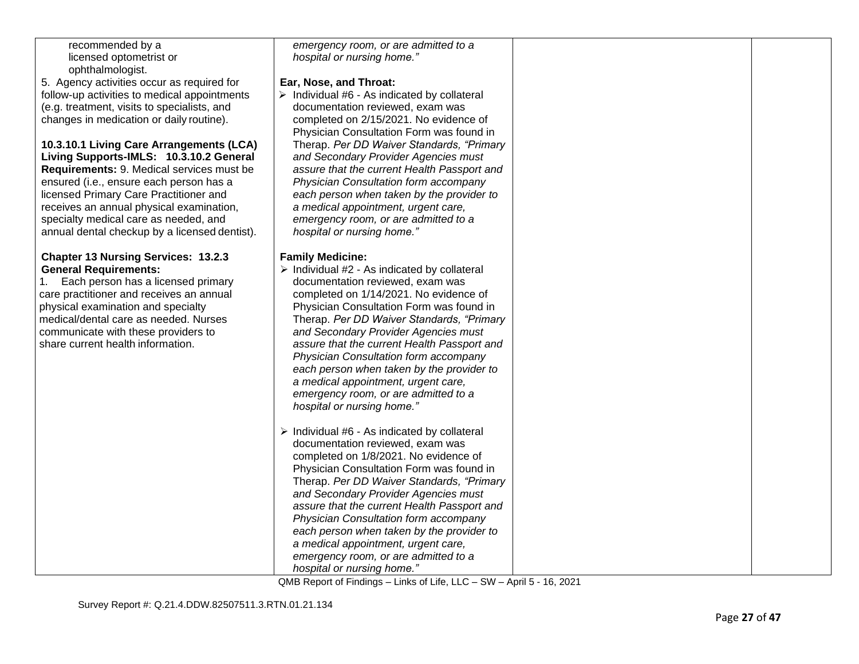| recommended by a                              | emergency room, or are admitted to a                                                |  |
|-----------------------------------------------|-------------------------------------------------------------------------------------|--|
| licensed optometrist or                       | hospital or nursing home."                                                          |  |
| ophthalmologist.                              |                                                                                     |  |
|                                               |                                                                                     |  |
| 5. Agency activities occur as required for    | Ear, Nose, and Throat:                                                              |  |
| follow-up activities to medical appointments  | $\triangleright$ Individual #6 - As indicated by collateral                         |  |
| (e.g. treatment, visits to specialists, and   | documentation reviewed, exam was                                                    |  |
| changes in medication or daily routine).      | completed on 2/15/2021. No evidence of                                              |  |
|                                               | Physician Consultation Form was found in                                            |  |
| 10.3.10.1 Living Care Arrangements (LCA)      | Therap. Per DD Waiver Standards, "Primary                                           |  |
| Living Supports-IMLS: 10.3.10.2 General       | and Secondary Provider Agencies must                                                |  |
| Requirements: 9. Medical services must be     | assure that the current Health Passport and                                         |  |
| ensured (i.e., ensure each person has a       | Physician Consultation form accompany                                               |  |
| licensed Primary Care Practitioner and        | each person when taken by the provider to                                           |  |
| receives an annual physical examination,      | a medical appointment, urgent care,                                                 |  |
| specialty medical care as needed, and         | emergency room, or are admitted to a                                                |  |
| annual dental checkup by a licensed dentist). | hospital or nursing home."                                                          |  |
|                                               |                                                                                     |  |
| <b>Chapter 13 Nursing Services: 13.2.3</b>    | <b>Family Medicine:</b>                                                             |  |
| <b>General Requirements:</b>                  | $\triangleright$ Individual #2 - As indicated by collateral                         |  |
| Each person has a licensed primary<br>1.      | documentation reviewed, exam was                                                    |  |
| care practitioner and receives an annual      | completed on 1/14/2021. No evidence of                                              |  |
| physical examination and specialty            | Physician Consultation Form was found in                                            |  |
| medical/dental care as needed. Nurses         | Therap. Per DD Waiver Standards, "Primary                                           |  |
| communicate with these providers to           | and Secondary Provider Agencies must                                                |  |
| share current health information.             | assure that the current Health Passport and                                         |  |
|                                               |                                                                                     |  |
|                                               | Physician Consultation form accompany                                               |  |
|                                               | each person when taken by the provider to                                           |  |
|                                               | a medical appointment, urgent care,                                                 |  |
|                                               | emergency room, or are admitted to a                                                |  |
|                                               | hospital or nursing home."                                                          |  |
|                                               |                                                                                     |  |
|                                               | $\triangleright$ Individual #6 - As indicated by collateral                         |  |
|                                               | documentation reviewed, exam was                                                    |  |
|                                               | completed on 1/8/2021. No evidence of                                               |  |
|                                               | Physician Consultation Form was found in                                            |  |
|                                               | Therap. Per DD Waiver Standards, "Primary                                           |  |
|                                               | and Secondary Provider Agencies must                                                |  |
|                                               | assure that the current Health Passport and                                         |  |
|                                               | Physician Consultation form accompany                                               |  |
|                                               | each person when taken by the provider to                                           |  |
|                                               | a medical appointment, urgent care,                                                 |  |
|                                               | emergency room, or are admitted to a                                                |  |
|                                               | hospital or nursing home."                                                          |  |
|                                               | $OMD$ Depart of Findings $L$ light of Life $ULQ$ , $OM$ , April $F$ , $AC$ , $2004$ |  |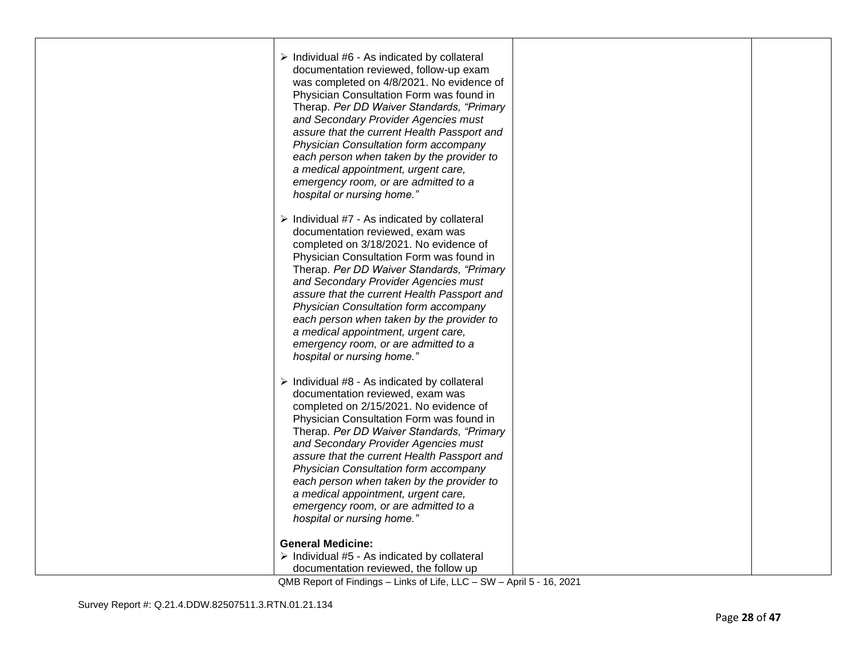| $\triangleright$ Individual #6 - As indicated by collateral<br>documentation reviewed, follow-up exam<br>was completed on 4/8/2021. No evidence of<br>Physician Consultation Form was found in<br>Therap. Per DD Waiver Standards, "Primary<br>and Secondary Provider Agencies must<br>assure that the current Health Passport and<br>Physician Consultation form accompany<br>each person when taken by the provider to<br>a medical appointment, urgent care,<br>emergency room, or are admitted to a<br>hospital or nursing home." |  |
|---------------------------------------------------------------------------------------------------------------------------------------------------------------------------------------------------------------------------------------------------------------------------------------------------------------------------------------------------------------------------------------------------------------------------------------------------------------------------------------------------------------------------------------|--|
| $\triangleright$ Individual #7 - As indicated by collateral<br>documentation reviewed, exam was<br>completed on 3/18/2021. No evidence of<br>Physician Consultation Form was found in<br>Therap. Per DD Waiver Standards, "Primary<br>and Secondary Provider Agencies must<br>assure that the current Health Passport and<br>Physician Consultation form accompany<br>each person when taken by the provider to<br>a medical appointment, urgent care,<br>emergency room, or are admitted to a<br>hospital or nursing home."          |  |
| $\triangleright$ Individual #8 - As indicated by collateral<br>documentation reviewed, exam was<br>completed on 2/15/2021. No evidence of<br>Physician Consultation Form was found in<br>Therap. Per DD Waiver Standards, "Primary<br>and Secondary Provider Agencies must<br>assure that the current Health Passport and<br>Physician Consultation form accompany<br>each person when taken by the provider to<br>a medical appointment, urgent care,<br>emergency room, or are admitted to a<br>hospital or nursing home."          |  |
| <b>General Medicine:</b><br>$\triangleright$ Individual #5 - As indicated by collateral<br>documentation reviewed, the follow up<br>QMB Report of Findings - Links of Life, LLC - SW - April 5 - 16, 2021                                                                                                                                                                                                                                                                                                                             |  |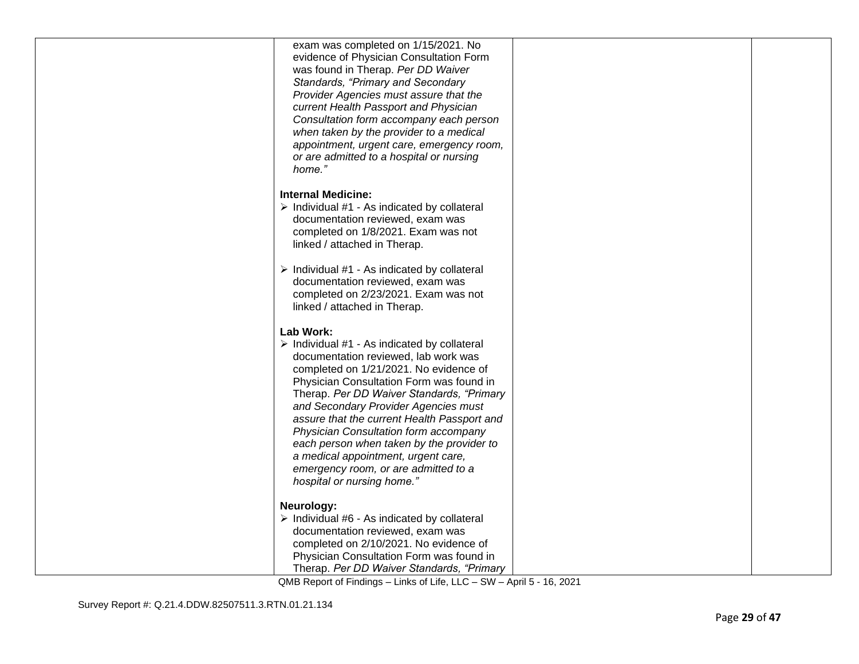| exam was completed on 1/15/2021. No                         |  |
|-------------------------------------------------------------|--|
| evidence of Physician Consultation Form                     |  |
| was found in Therap. Per DD Waiver                          |  |
| Standards, "Primary and Secondary                           |  |
| Provider Agencies must assure that the                      |  |
| current Health Passport and Physician                       |  |
| Consultation form accompany each person                     |  |
| when taken by the provider to a medical                     |  |
| appointment, urgent care, emergency room,                   |  |
| or are admitted to a hospital or nursing                    |  |
| home."                                                      |  |
|                                                             |  |
| <b>Internal Medicine:</b>                                   |  |
| $\triangleright$ Individual #1 - As indicated by collateral |  |
| documentation reviewed, exam was                            |  |
| completed on 1/8/2021. Exam was not                         |  |
| linked / attached in Therap.                                |  |
|                                                             |  |
| $\triangleright$ Individual #1 - As indicated by collateral |  |
| documentation reviewed, exam was                            |  |
| completed on 2/23/2021. Exam was not                        |  |
| linked / attached in Therap.                                |  |
|                                                             |  |
| Lab Work:                                                   |  |
| $\triangleright$ Individual #1 - As indicated by collateral |  |
| documentation reviewed, lab work was                        |  |
| completed on 1/21/2021. No evidence of                      |  |
| Physician Consultation Form was found in                    |  |
| Therap. Per DD Waiver Standards, "Primary                   |  |
| and Secondary Provider Agencies must                        |  |
| assure that the current Health Passport and                 |  |
| Physician Consultation form accompany                       |  |
| each person when taken by the provider to                   |  |
| a medical appointment, urgent care,                         |  |
| emergency room, or are admitted to a                        |  |
| hospital or nursing home."                                  |  |
|                                                             |  |
| Neurology:                                                  |  |
| $\triangleright$ Individual #6 - As indicated by collateral |  |
| documentation reviewed, exam was                            |  |
| completed on 2/10/2021. No evidence of                      |  |
| Physician Consultation Form was found in                    |  |
| Therap. Per DD Waiver Standards, "Primary                   |  |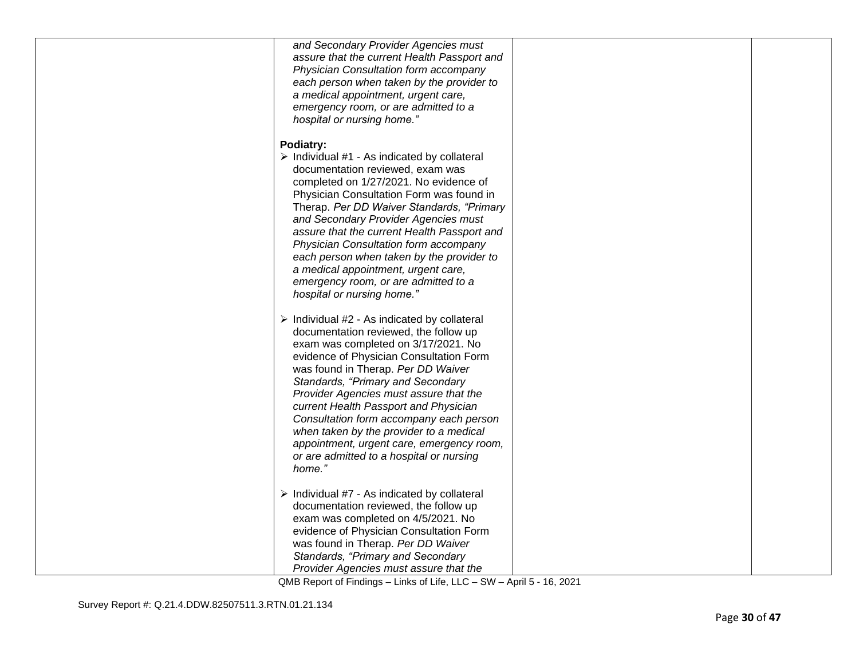| and Secondary Provider Agencies must<br>assure that the current Health Passport and<br>Physician Consultation form accompany<br>each person when taken by the provider to<br>a medical appointment, urgent care,<br>emergency room, or are admitted to a<br>hospital or nursing home."                                                                                                                                                                                                                                                        |  |
|-----------------------------------------------------------------------------------------------------------------------------------------------------------------------------------------------------------------------------------------------------------------------------------------------------------------------------------------------------------------------------------------------------------------------------------------------------------------------------------------------------------------------------------------------|--|
| Podiatry:<br>$\triangleright$ Individual #1 - As indicated by collateral<br>documentation reviewed, exam was<br>completed on 1/27/2021. No evidence of<br>Physician Consultation Form was found in<br>Therap. Per DD Waiver Standards, "Primary<br>and Secondary Provider Agencies must<br>assure that the current Health Passport and<br>Physician Consultation form accompany<br>each person when taken by the provider to<br>a medical appointment, urgent care,<br>emergency room, or are admitted to a<br>hospital or nursing home."     |  |
| $\triangleright$ Individual #2 - As indicated by collateral<br>documentation reviewed, the follow up<br>exam was completed on 3/17/2021. No<br>evidence of Physician Consultation Form<br>was found in Therap. Per DD Waiver<br>Standards, "Primary and Secondary<br>Provider Agencies must assure that the<br>current Health Passport and Physician<br>Consultation form accompany each person<br>when taken by the provider to a medical<br>appointment, urgent care, emergency room,<br>or are admitted to a hospital or nursing<br>home." |  |
| $\triangleright$ Individual #7 - As indicated by collateral<br>documentation reviewed, the follow up<br>exam was completed on 4/5/2021. No<br>evidence of Physician Consultation Form<br>was found in Therap. Per DD Waiver<br>Standards, "Primary and Secondary<br>Provider Agencies must assure that the                                                                                                                                                                                                                                    |  |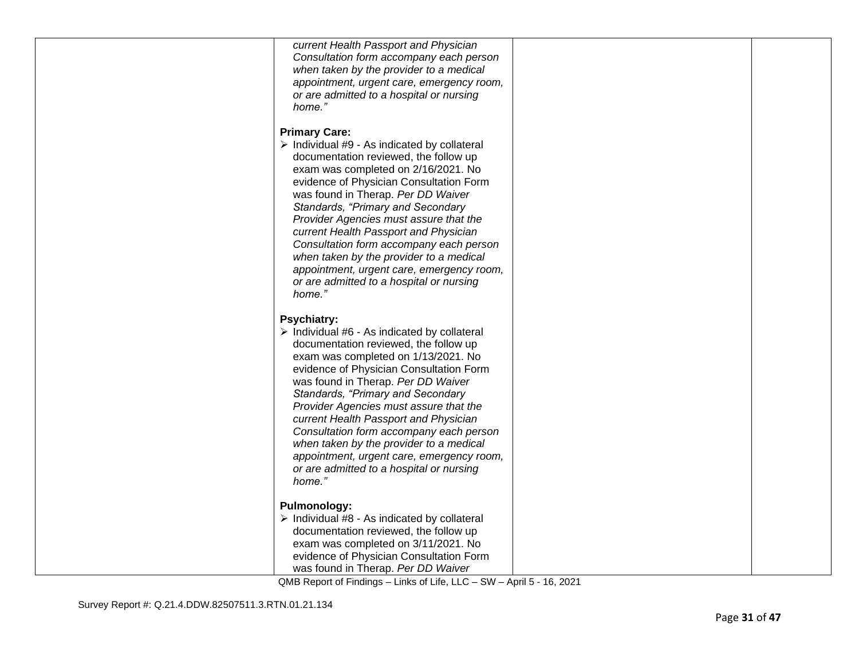| current Health Passport and Physician                       |  |
|-------------------------------------------------------------|--|
| Consultation form accompany each person                     |  |
| when taken by the provider to a medical                     |  |
| appointment, urgent care, emergency room,                   |  |
| or are admitted to a hospital or nursing                    |  |
| home."                                                      |  |
|                                                             |  |
|                                                             |  |
| <b>Primary Care:</b>                                        |  |
| > Individual #9 - As indicated by collateral                |  |
| documentation reviewed, the follow up                       |  |
| exam was completed on 2/16/2021. No                         |  |
| evidence of Physician Consultation Form                     |  |
| was found in Therap. Per DD Waiver                          |  |
|                                                             |  |
| Standards, "Primary and Secondary                           |  |
| Provider Agencies must assure that the                      |  |
| current Health Passport and Physician                       |  |
| Consultation form accompany each person                     |  |
| when taken by the provider to a medical                     |  |
| appointment, urgent care, emergency room,                   |  |
| or are admitted to a hospital or nursing                    |  |
| home."                                                      |  |
|                                                             |  |
|                                                             |  |
| <b>Psychiatry:</b>                                          |  |
| $\triangleright$ Individual #6 - As indicated by collateral |  |
| documentation reviewed, the follow up                       |  |
| exam was completed on 1/13/2021. No                         |  |
| evidence of Physician Consultation Form                     |  |
| was found in Therap. Per DD Waiver                          |  |
| Standards, "Primary and Secondary                           |  |
| Provider Agencies must assure that the                      |  |
|                                                             |  |
| current Health Passport and Physician                       |  |
| Consultation form accompany each person                     |  |
| when taken by the provider to a medical                     |  |
| appointment, urgent care, emergency room,                   |  |
|                                                             |  |
| or are admitted to a hospital or nursing                    |  |
| home."                                                      |  |
|                                                             |  |
|                                                             |  |
| <b>Pulmonology:</b>                                         |  |
| $\triangleright$ Individual #8 - As indicated by collateral |  |
| documentation reviewed, the follow up                       |  |
| exam was completed on 3/11/2021. No                         |  |
| evidence of Physician Consultation Form                     |  |
| was found in Therap. Per DD Waiver                          |  |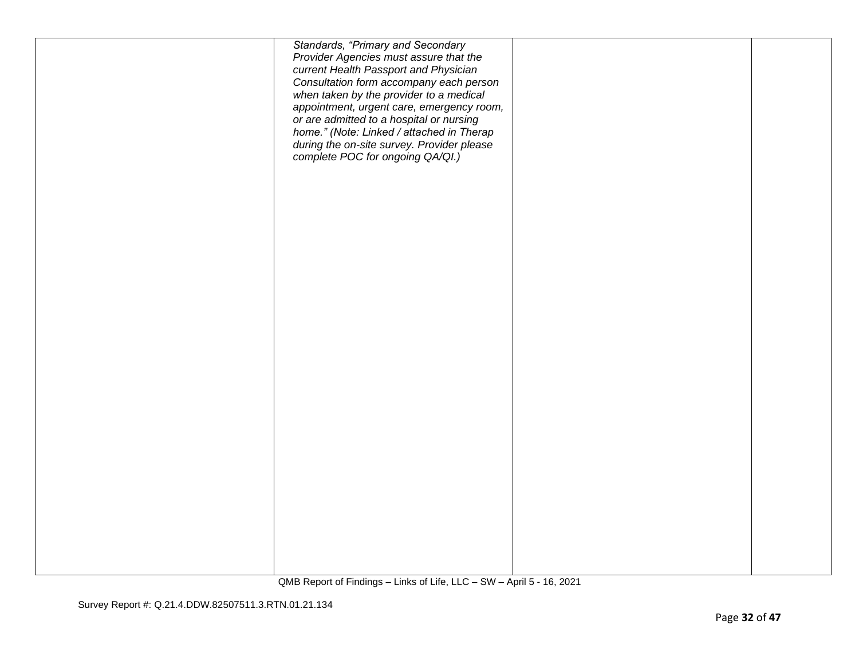|  | Standards, "Primary and Secondary<br>Provider Agencies must assure that the<br>current Health Passport and Physician<br>Consultation form accompany each person<br>when taken by the provider to a medical<br>appointment, urgent care, emergency room,<br>or are admitted to a hospital or nursing<br>home." (Note: Linked / attached in Therap<br>during the on-site survey. Provider please<br>complete POC for ongoing QA/QI.) |  |
|--|------------------------------------------------------------------------------------------------------------------------------------------------------------------------------------------------------------------------------------------------------------------------------------------------------------------------------------------------------------------------------------------------------------------------------------|--|
|  |                                                                                                                                                                                                                                                                                                                                                                                                                                    |  |
|  |                                                                                                                                                                                                                                                                                                                                                                                                                                    |  |
|  |                                                                                                                                                                                                                                                                                                                                                                                                                                    |  |
|  |                                                                                                                                                                                                                                                                                                                                                                                                                                    |  |
|  |                                                                                                                                                                                                                                                                                                                                                                                                                                    |  |
|  |                                                                                                                                                                                                                                                                                                                                                                                                                                    |  |
|  |                                                                                                                                                                                                                                                                                                                                                                                                                                    |  |
|  |                                                                                                                                                                                                                                                                                                                                                                                                                                    |  |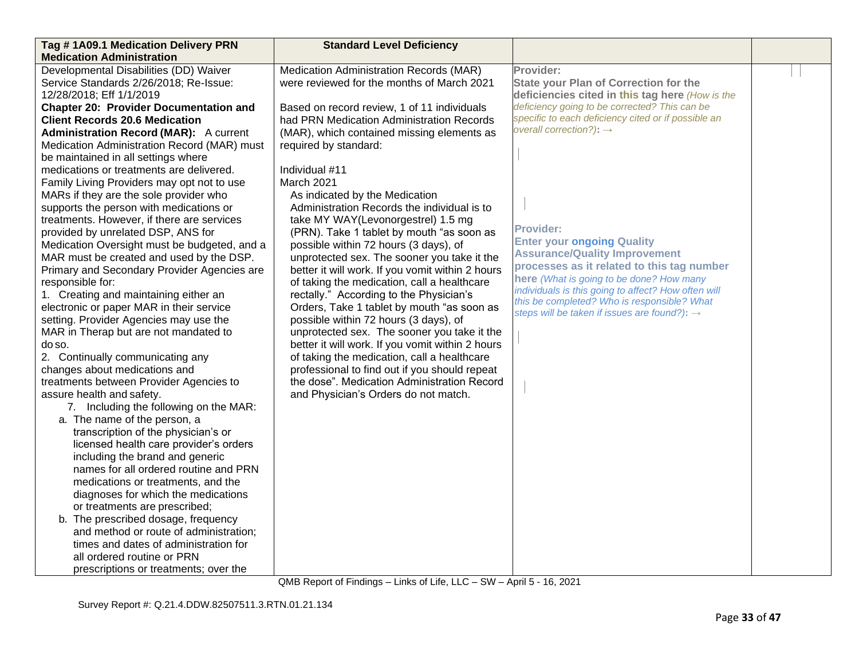| Tag #1A09.1 Medication Delivery PRN                                      | <b>Standard Level Deficiency</b>                 |                                                                                    |  |
|--------------------------------------------------------------------------|--------------------------------------------------|------------------------------------------------------------------------------------|--|
| <b>Medication Administration</b>                                         |                                                  |                                                                                    |  |
| Developmental Disabilities (DD) Waiver                                   | Medication Administration Records (MAR)          | Provider:                                                                          |  |
| Service Standards 2/26/2018; Re-Issue:                                   | were reviewed for the months of March 2021       | <b>State your Plan of Correction for the</b>                                       |  |
| 12/28/2018; Eff 1/1/2019                                                 |                                                  | deficiencies cited in this tag here (How is the                                    |  |
| <b>Chapter 20: Provider Documentation and</b>                            | Based on record review, 1 of 11 individuals      | deficiency going to be corrected? This can be                                      |  |
| <b>Client Records 20.6 Medication</b>                                    | had PRN Medication Administration Records        | specific to each deficiency cited or if possible an                                |  |
| <b>Administration Record (MAR):</b> A current                            | (MAR), which contained missing elements as       | overall correction?): $\rightarrow$                                                |  |
| Medication Administration Record (MAR) must                              | required by standard:                            |                                                                                    |  |
| be maintained in all settings where                                      |                                                  |                                                                                    |  |
| medications or treatments are delivered.                                 | Individual #11                                   |                                                                                    |  |
| Family Living Providers may opt not to use                               | March 2021                                       |                                                                                    |  |
| MARs if they are the sole provider who                                   | As indicated by the Medication                   |                                                                                    |  |
| supports the person with medications or                                  | Administration Records the individual is to      |                                                                                    |  |
| treatments. However, if there are services                               | take MY WAY(Levonorgestrel) 1.5 mg               |                                                                                    |  |
| provided by unrelated DSP, ANS for                                       | (PRN). Take 1 tablet by mouth "as soon as        | <b>Provider:</b>                                                                   |  |
| Medication Oversight must be budgeted, and a                             | possible within 72 hours (3 days), of            | <b>Enter your ongoing Quality</b>                                                  |  |
| MAR must be created and used by the DSP.                                 | unprotected sex. The sooner you take it the      | <b>Assurance/Quality Improvement</b><br>processes as it related to this tag number |  |
| Primary and Secondary Provider Agencies are                              | better it will work. If you vomit within 2 hours | here (What is going to be done? How many                                           |  |
| responsible for:                                                         | of taking the medication, call a healthcare      | individuals is this going to affect? How often will                                |  |
| 1. Creating and maintaining either an                                    | rectally." According to the Physician's          | this be completed? Who is responsible? What                                        |  |
| electronic or paper MAR in their service                                 | Orders, Take 1 tablet by mouth "as soon as       | steps will be taken if issues are found?): $\rightarrow$                           |  |
| setting. Provider Agencies may use the                                   | possible within 72 hours (3 days), of            |                                                                                    |  |
| MAR in Therap but are not mandated to                                    | unprotected sex. The sooner you take it the      |                                                                                    |  |
| do so.                                                                   | better it will work. If you vomit within 2 hours |                                                                                    |  |
| 2. Continually communicating any                                         | of taking the medication, call a healthcare      |                                                                                    |  |
| changes about medications and                                            | professional to find out if you should repeat    |                                                                                    |  |
| treatments between Provider Agencies to                                  | the dose". Medication Administration Record      |                                                                                    |  |
| assure health and safety.                                                | and Physician's Orders do not match.             |                                                                                    |  |
| 7. Including the following on the MAR:                                   |                                                  |                                                                                    |  |
| a. The name of the person, a                                             |                                                  |                                                                                    |  |
| transcription of the physician's or                                      |                                                  |                                                                                    |  |
| licensed health care provider's orders                                   |                                                  |                                                                                    |  |
| including the brand and generic<br>names for all ordered routine and PRN |                                                  |                                                                                    |  |
| medications or treatments, and the                                       |                                                  |                                                                                    |  |
| diagnoses for which the medications                                      |                                                  |                                                                                    |  |
| or treatments are prescribed;                                            |                                                  |                                                                                    |  |
| b. The prescribed dosage, frequency                                      |                                                  |                                                                                    |  |
| and method or route of administration;                                   |                                                  |                                                                                    |  |
| times and dates of administration for                                    |                                                  |                                                                                    |  |
| all ordered routine or PRN                                               |                                                  |                                                                                    |  |
|                                                                          |                                                  |                                                                                    |  |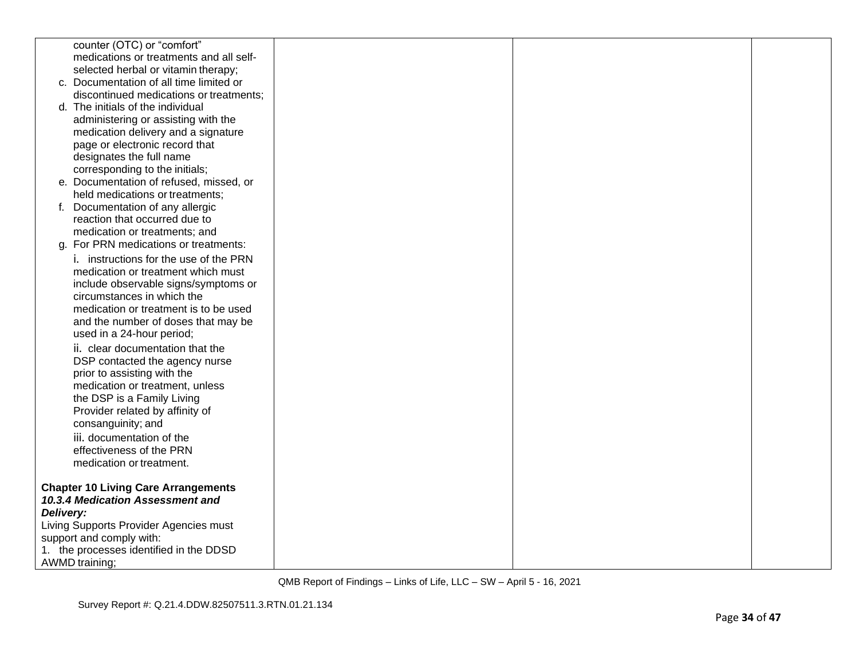|           | counter (OTC) or "comfort"                                             |  |  |
|-----------|------------------------------------------------------------------------|--|--|
|           | medications or treatments and all self-                                |  |  |
|           | selected herbal or vitamin therapy;                                    |  |  |
|           | c. Documentation of all time limited or                                |  |  |
|           | discontinued medications or treatments;                                |  |  |
|           | d. The initials of the individual                                      |  |  |
|           | administering or assisting with the                                    |  |  |
|           | medication delivery and a signature                                    |  |  |
|           | page or electronic record that                                         |  |  |
|           | designates the full name                                               |  |  |
|           | corresponding to the initials;                                         |  |  |
|           | e. Documentation of refused, missed, or                                |  |  |
|           | held medications or treatments;                                        |  |  |
|           | Documentation of any allergic                                          |  |  |
|           | reaction that occurred due to                                          |  |  |
|           | medication or treatments; and<br>g. For PRN medications or treatments: |  |  |
|           |                                                                        |  |  |
|           | i. instructions for the use of the PRN                                 |  |  |
|           | medication or treatment which must                                     |  |  |
|           | include observable signs/symptoms or<br>circumstances in which the     |  |  |
|           | medication or treatment is to be used                                  |  |  |
|           | and the number of doses that may be                                    |  |  |
|           | used in a 24-hour period;                                              |  |  |
|           | ii. clear documentation that the                                       |  |  |
|           | DSP contacted the agency nurse                                         |  |  |
|           | prior to assisting with the                                            |  |  |
|           | medication or treatment, unless                                        |  |  |
|           | the DSP is a Family Living                                             |  |  |
|           | Provider related by affinity of                                        |  |  |
|           | consanguinity; and                                                     |  |  |
|           | iii. documentation of the                                              |  |  |
|           | effectiveness of the PRN                                               |  |  |
|           | medication or treatment.                                               |  |  |
|           |                                                                        |  |  |
|           | <b>Chapter 10 Living Care Arrangements</b>                             |  |  |
|           | 10.3.4 Medication Assessment and                                       |  |  |
| Delivery: |                                                                        |  |  |
|           | Living Supports Provider Agencies must                                 |  |  |
|           | support and comply with:                                               |  |  |
|           | 1. the processes identified in the DDSD                                |  |  |
|           | <b>AWMD</b> training;                                                  |  |  |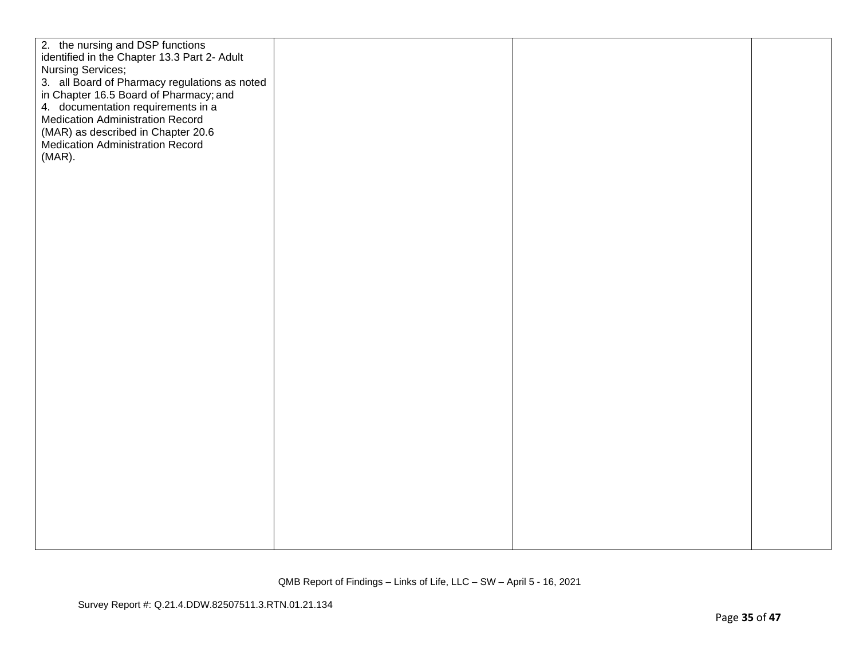| 2. the nursing and DSP functions<br>identified in the Chapter 13.3 Part 2- Adult<br><b>Nursing Services;</b><br>3. all Board of Pharmacy regulations as noted<br>in Chapter 16.5 Board of Pharmacy; and<br>4. documentation requirements in a<br><b>Medication Administration Record</b><br>(MAR) as described in Chapter 20.6<br><b>Medication Administration Record</b><br>$(MAR)$ . |  |  |
|----------------------------------------------------------------------------------------------------------------------------------------------------------------------------------------------------------------------------------------------------------------------------------------------------------------------------------------------------------------------------------------|--|--|
|                                                                                                                                                                                                                                                                                                                                                                                        |  |  |
|                                                                                                                                                                                                                                                                                                                                                                                        |  |  |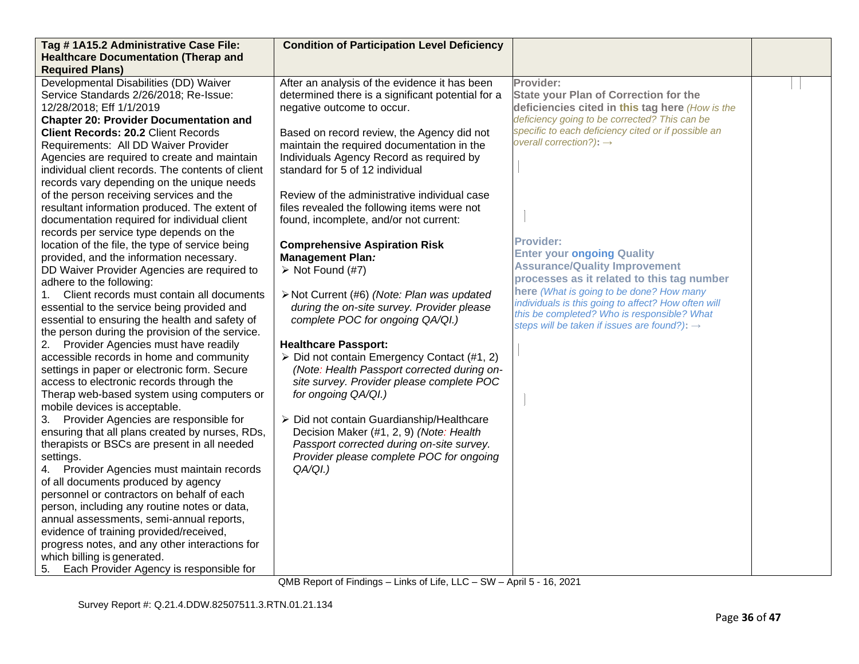| Tag #1A15.2 Administrative Case File:             | <b>Condition of Participation Level Deficiency</b>         |                                                                                                 |  |
|---------------------------------------------------|------------------------------------------------------------|-------------------------------------------------------------------------------------------------|--|
| <b>Healthcare Documentation (Therap and</b>       |                                                            |                                                                                                 |  |
| <b>Required Plans)</b>                            |                                                            |                                                                                                 |  |
| Developmental Disabilities (DD) Waiver            | After an analysis of the evidence it has been              | Provider:                                                                                       |  |
| Service Standards 2/26/2018; Re-Issue:            | determined there is a significant potential for a          | <b>State your Plan of Correction for the</b>                                                    |  |
| 12/28/2018; Eff 1/1/2019                          | negative outcome to occur.                                 | deficiencies cited in this tag here (How is the                                                 |  |
| <b>Chapter 20: Provider Documentation and</b>     |                                                            | deficiency going to be corrected? This can be                                                   |  |
| <b>Client Records: 20.2 Client Records</b>        | Based on record review, the Agency did not                 | specific to each deficiency cited or if possible an                                             |  |
| Requirements: All DD Waiver Provider              | maintain the required documentation in the                 | overall correction?): $\rightarrow$                                                             |  |
| Agencies are required to create and maintain      | Individuals Agency Record as required by                   |                                                                                                 |  |
| individual client records. The contents of client | standard for 5 of 12 individual                            |                                                                                                 |  |
| records vary depending on the unique needs        |                                                            |                                                                                                 |  |
| of the person receiving services and the          | Review of the administrative individual case               |                                                                                                 |  |
| resultant information produced. The extent of     | files revealed the following items were not                |                                                                                                 |  |
| documentation required for individual client      | found, incomplete, and/or not current:                     |                                                                                                 |  |
| records per service type depends on the           |                                                            |                                                                                                 |  |
| location of the file, the type of service being   | <b>Comprehensive Aspiration Risk</b>                       | <b>Provider:</b>                                                                                |  |
| provided, and the information necessary.          | <b>Management Plan:</b>                                    | <b>Enter your ongoing Quality</b>                                                               |  |
| DD Waiver Provider Agencies are required to       | $\triangleright$ Not Found (#7)                            | <b>Assurance/Quality Improvement</b>                                                            |  |
| adhere to the following:                          |                                                            | processes as it related to this tag number                                                      |  |
| Client records must contain all documents         | > Not Current (#6) (Note: Plan was updated                 | here (What is going to be done? How many<br>individuals is this going to affect? How often will |  |
| essential to the service being provided and       | during the on-site survey. Provider please                 | this be completed? Who is responsible? What                                                     |  |
| essential to ensuring the health and safety of    | complete POC for ongoing QA/QI.)                           | steps will be taken if issues are found?): $\rightarrow$                                        |  |
| the person during the provision of the service.   |                                                            |                                                                                                 |  |
| 2. Provider Agencies must have readily            | <b>Healthcare Passport:</b>                                |                                                                                                 |  |
| accessible records in home and community          | $\triangleright$ Did not contain Emergency Contact (#1, 2) |                                                                                                 |  |
| settings in paper or electronic form. Secure      | (Note: Health Passport corrected during on-                |                                                                                                 |  |
| access to electronic records through the          | site survey. Provider please complete POC                  |                                                                                                 |  |
| Therap web-based system using computers or        | for ongoing QA/QI.)                                        |                                                                                                 |  |
| mobile devices is acceptable.                     |                                                            |                                                                                                 |  |
| 3. Provider Agencies are responsible for          | > Did not contain Guardianship/Healthcare                  |                                                                                                 |  |
| ensuring that all plans created by nurses, RDs,   | Decision Maker (#1, 2, 9) (Note: Health                    |                                                                                                 |  |
| therapists or BSCs are present in all needed      | Passport corrected during on-site survey.                  |                                                                                                 |  |
| settings.                                         | Provider please complete POC for ongoing                   |                                                                                                 |  |
| Provider Agencies must maintain records<br>4.     | $QA/QI.$ )                                                 |                                                                                                 |  |
| of all documents produced by agency               |                                                            |                                                                                                 |  |
| personnel or contractors on behalf of each        |                                                            |                                                                                                 |  |
| person, including any routine notes or data,      |                                                            |                                                                                                 |  |
| annual assessments, semi-annual reports,          |                                                            |                                                                                                 |  |
| evidence of training provided/received,           |                                                            |                                                                                                 |  |
| progress notes, and any other interactions for    |                                                            |                                                                                                 |  |
| which billing is generated.                       |                                                            |                                                                                                 |  |
| Each Provider Agency is responsible for<br>5.     |                                                            |                                                                                                 |  |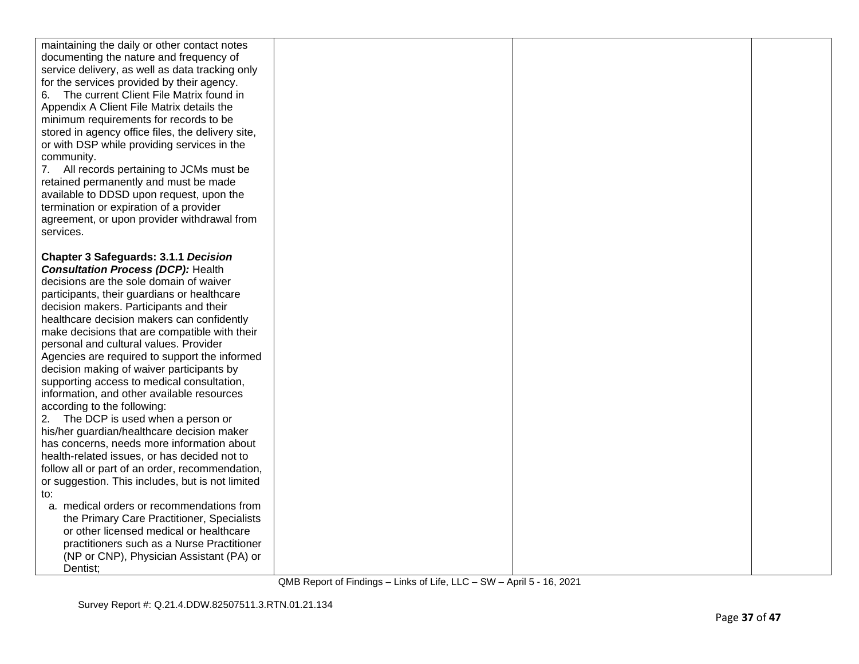| maintaining the daily or other contact notes<br>documenting the nature and frequency of<br>service delivery, as well as data tracking only<br>for the services provided by their agency.<br>The current Client File Matrix found in<br>6.<br>Appendix A Client File Matrix details the<br>minimum requirements for records to be<br>stored in agency office files, the delivery site,<br>or with DSP while providing services in the<br>community.<br>7. All records pertaining to JCMs must be<br>retained permanently and must be made<br>available to DDSD upon request, upon the<br>termination or expiration of a provider<br>agreement, or upon provider withdrawal from<br>services.                                                                                                                                                                                                      |  |  |
|--------------------------------------------------------------------------------------------------------------------------------------------------------------------------------------------------------------------------------------------------------------------------------------------------------------------------------------------------------------------------------------------------------------------------------------------------------------------------------------------------------------------------------------------------------------------------------------------------------------------------------------------------------------------------------------------------------------------------------------------------------------------------------------------------------------------------------------------------------------------------------------------------|--|--|
| <b>Chapter 3 Safeguards: 3.1.1 Decision</b><br><b>Consultation Process (DCP): Health</b><br>decisions are the sole domain of waiver<br>participants, their guardians or healthcare<br>decision makers. Participants and their<br>healthcare decision makers can confidently<br>make decisions that are compatible with their<br>personal and cultural values. Provider<br>Agencies are required to support the informed<br>decision making of waiver participants by<br>supporting access to medical consultation,<br>information, and other available resources<br>according to the following:<br>2. The DCP is used when a person or<br>his/her guardian/healthcare decision maker<br>has concerns, needs more information about<br>health-related issues, or has decided not to<br>follow all or part of an order, recommendation,<br>or suggestion. This includes, but is not limited<br>to: |  |  |
| a. medical orders or recommendations from<br>the Primary Care Practitioner, Specialists<br>or other licensed medical or healthcare<br>practitioners such as a Nurse Practitioner<br>(NP or CNP), Physician Assistant (PA) or<br>Dentist;                                                                                                                                                                                                                                                                                                                                                                                                                                                                                                                                                                                                                                                         |  |  |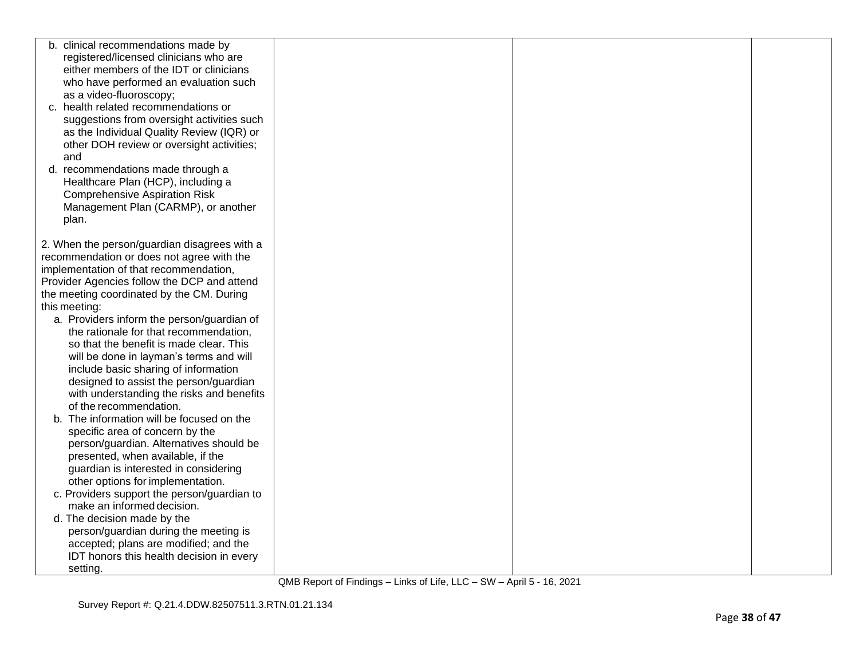| b. clinical recommendations made by          |  |  |
|----------------------------------------------|--|--|
| registered/licensed clinicians who are       |  |  |
| either members of the IDT or clinicians      |  |  |
| who have performed an evaluation such        |  |  |
| as a video-fluoroscopy;                      |  |  |
| c. health related recommendations or         |  |  |
| suggestions from oversight activities such   |  |  |
| as the Individual Quality Review (IQR) or    |  |  |
| other DOH review or oversight activities;    |  |  |
| and                                          |  |  |
| d. recommendations made through a            |  |  |
| Healthcare Plan (HCP), including a           |  |  |
| <b>Comprehensive Aspiration Risk</b>         |  |  |
| Management Plan (CARMP), or another          |  |  |
|                                              |  |  |
| plan.                                        |  |  |
| 2. When the person/guardian disagrees with a |  |  |
| recommendation or does not agree with the    |  |  |
| implementation of that recommendation,       |  |  |
|                                              |  |  |
| Provider Agencies follow the DCP and attend  |  |  |
| the meeting coordinated by the CM. During    |  |  |
| this meeting:                                |  |  |
| a. Providers inform the person/guardian of   |  |  |
| the rationale for that recommendation,       |  |  |
| so that the benefit is made clear. This      |  |  |
| will be done in layman's terms and will      |  |  |
| include basic sharing of information         |  |  |
| designed to assist the person/guardian       |  |  |
| with understanding the risks and benefits    |  |  |
| of the recommendation.                       |  |  |
| The information will be focused on the<br>b. |  |  |
| specific area of concern by the              |  |  |
| person/guardian. Alternatives should be      |  |  |
| presented, when available, if the            |  |  |
| guardian is interested in considering        |  |  |
| other options for implementation.            |  |  |
| c. Providers support the person/guardian to  |  |  |
| make an informed decision.                   |  |  |
| d. The decision made by the                  |  |  |
| person/guardian during the meeting is        |  |  |
| accepted; plans are modified; and the        |  |  |
| IDT honors this health decision in every     |  |  |
| setting.                                     |  |  |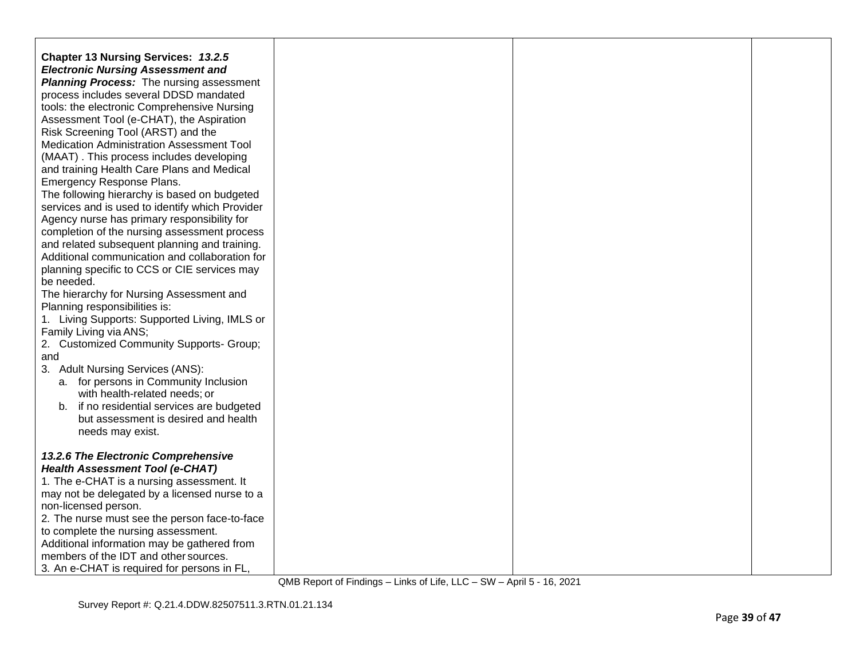| Chapter 13 Nursing Services: 13.2.5                    |  |  |
|--------------------------------------------------------|--|--|
| <b>Electronic Nursing Assessment and</b>               |  |  |
| <b>Planning Process:</b> The nursing assessment        |  |  |
| process includes several DDSD mandated                 |  |  |
| tools: the electronic Comprehensive Nursing            |  |  |
| Assessment Tool (e-CHAT), the Aspiration               |  |  |
| Risk Screening Tool (ARST) and the                     |  |  |
| <b>Medication Administration Assessment Tool</b>       |  |  |
| (MAAT). This process includes developing               |  |  |
| and training Health Care Plans and Medical             |  |  |
| Emergency Response Plans.                              |  |  |
| The following hierarchy is based on budgeted           |  |  |
| services and is used to identify which Provider        |  |  |
| Agency nurse has primary responsibility for            |  |  |
| completion of the nursing assessment process           |  |  |
| and related subsequent planning and training.          |  |  |
| Additional communication and collaboration for         |  |  |
| planning specific to CCS or CIE services may           |  |  |
| be needed.<br>The hierarchy for Nursing Assessment and |  |  |
| Planning responsibilities is:                          |  |  |
| 1. Living Supports: Supported Living, IMLS or          |  |  |
| Family Living via ANS;                                 |  |  |
| 2. Customized Community Supports- Group;               |  |  |
| and                                                    |  |  |
| 3. Adult Nursing Services (ANS):                       |  |  |
| a. for persons in Community Inclusion                  |  |  |
| with health-related needs; or                          |  |  |
| b. if no residential services are budgeted             |  |  |
| but assessment is desired and health                   |  |  |
| needs may exist.                                       |  |  |
|                                                        |  |  |
| 13.2.6 The Electronic Comprehensive                    |  |  |
| <b>Health Assessment Tool (e-CHAT)</b>                 |  |  |
| 1. The e-CHAT is a nursing assessment. It              |  |  |
| may not be delegated by a licensed nurse to a          |  |  |
| non-licensed person.                                   |  |  |
| 2. The nurse must see the person face-to-face          |  |  |
| to complete the nursing assessment.                    |  |  |
| Additional information may be gathered from            |  |  |
| members of the IDT and other sources.                  |  |  |
| 3. An e-CHAT is required for persons in FL,            |  |  |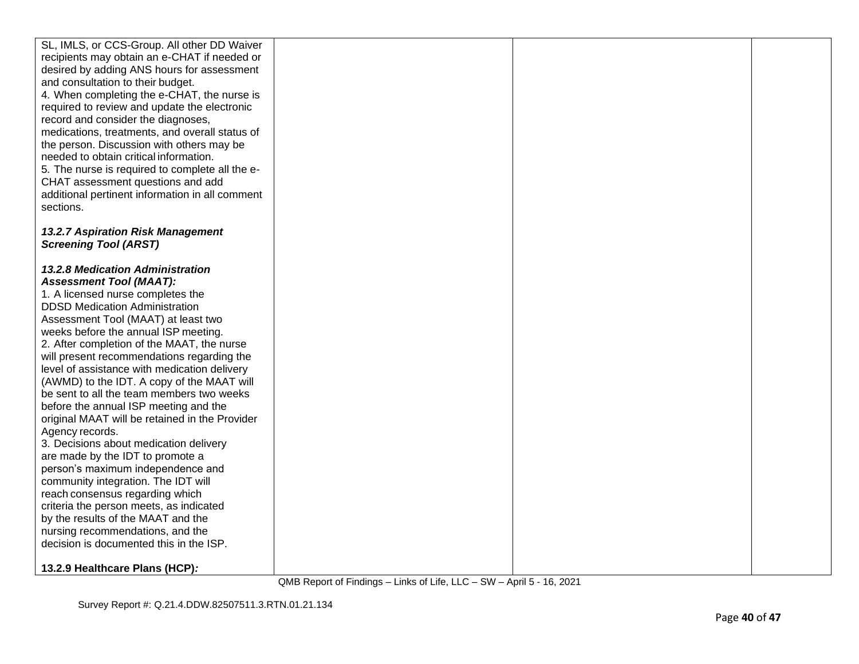| SL, IMLS, or CCS-Group. All other DD Waiver<br>recipients may obtain an e-CHAT if needed or<br>desired by adding ANS hours for assessment<br>and consultation to their budget.<br>4. When completing the e-CHAT, the nurse is<br>required to review and update the electronic<br>record and consider the diagnoses,<br>medications, treatments, and overall status of<br>the person. Discussion with others may be<br>needed to obtain critical information.<br>5. The nurse is required to complete all the e-<br>CHAT assessment questions and add<br>additional pertinent information in all comment<br>sections.                                                                                                                                                                                                                                                                                                                                                                       |  |  |
|--------------------------------------------------------------------------------------------------------------------------------------------------------------------------------------------------------------------------------------------------------------------------------------------------------------------------------------------------------------------------------------------------------------------------------------------------------------------------------------------------------------------------------------------------------------------------------------------------------------------------------------------------------------------------------------------------------------------------------------------------------------------------------------------------------------------------------------------------------------------------------------------------------------------------------------------------------------------------------------------|--|--|
| 13.2.7 Aspiration Risk Management<br><b>Screening Tool (ARST)</b>                                                                                                                                                                                                                                                                                                                                                                                                                                                                                                                                                                                                                                                                                                                                                                                                                                                                                                                          |  |  |
| <b>13.2.8 Medication Administration</b><br><b>Assessment Tool (MAAT):</b><br>1. A licensed nurse completes the<br><b>DDSD Medication Administration</b><br>Assessment Tool (MAAT) at least two<br>weeks before the annual ISP meeting.<br>2. After completion of the MAAT, the nurse<br>will present recommendations regarding the<br>level of assistance with medication delivery<br>(AWMD) to the IDT. A copy of the MAAT will<br>be sent to all the team members two weeks<br>before the annual ISP meeting and the<br>original MAAT will be retained in the Provider<br>Agency records.<br>3. Decisions about medication delivery<br>are made by the IDT to promote a<br>person's maximum independence and<br>community integration. The IDT will<br>reach consensus regarding which<br>criteria the person meets, as indicated<br>by the results of the MAAT and the<br>nursing recommendations, and the<br>decision is documented this in the ISP.<br>13.2.9 Healthcare Plans (HCP): |  |  |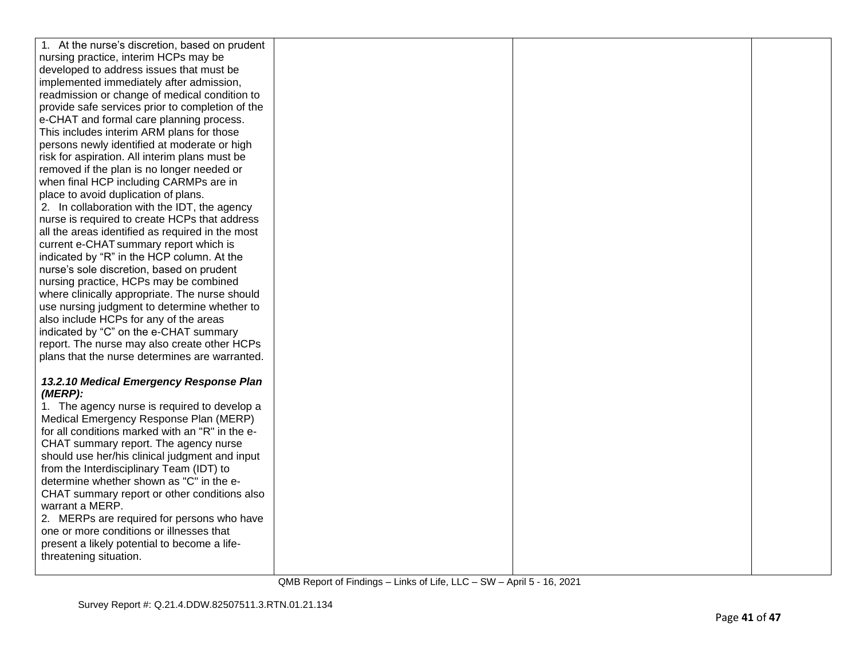| 1. At the nurse's discretion, based on prudent                                         |  |  |
|----------------------------------------------------------------------------------------|--|--|
| nursing practice, interim HCPs may be                                                  |  |  |
| developed to address issues that must be                                               |  |  |
| implemented immediately after admission,                                               |  |  |
| readmission or change of medical condition to                                          |  |  |
| provide safe services prior to completion of the                                       |  |  |
| e-CHAT and formal care planning process.                                               |  |  |
| This includes interim ARM plans for those                                              |  |  |
| persons newly identified at moderate or high                                           |  |  |
| risk for aspiration. All interim plans must be                                         |  |  |
| removed if the plan is no longer needed or                                             |  |  |
| when final HCP including CARMPs are in                                                 |  |  |
| place to avoid duplication of plans.                                                   |  |  |
| 2. In collaboration with the IDT, the agency                                           |  |  |
| nurse is required to create HCPs that address                                          |  |  |
| all the areas identified as required in the most                                       |  |  |
| current e-CHAT summary report which is                                                 |  |  |
| indicated by "R" in the HCP column. At the                                             |  |  |
| nurse's sole discretion, based on prudent                                              |  |  |
| nursing practice, HCPs may be combined                                                 |  |  |
| where clinically appropriate. The nurse should                                         |  |  |
| use nursing judgment to determine whether to                                           |  |  |
| also include HCPs for any of the areas                                                 |  |  |
| indicated by "C" on the e-CHAT summary                                                 |  |  |
| report. The nurse may also create other HCPs                                           |  |  |
| plans that the nurse determines are warranted.                                         |  |  |
|                                                                                        |  |  |
| 13.2.10 Medical Emergency Response Plan                                                |  |  |
| (MERP):                                                                                |  |  |
| 1. The agency nurse is required to develop a                                           |  |  |
| Medical Emergency Response Plan (MERP)                                                 |  |  |
| for all conditions marked with an "R" in the e-                                        |  |  |
| CHAT summary report. The agency nurse                                                  |  |  |
| should use her/his clinical judgment and input                                         |  |  |
| from the Interdisciplinary Team (IDT) to                                               |  |  |
| determine whether shown as "C" in the e-                                               |  |  |
| CHAT summary report or other conditions also<br>warrant a MERP.                        |  |  |
|                                                                                        |  |  |
| 2. MERPs are required for persons who have<br>one or more conditions or illnesses that |  |  |
|                                                                                        |  |  |
| present a likely potential to become a life-                                           |  |  |
| threatening situation.                                                                 |  |  |
|                                                                                        |  |  |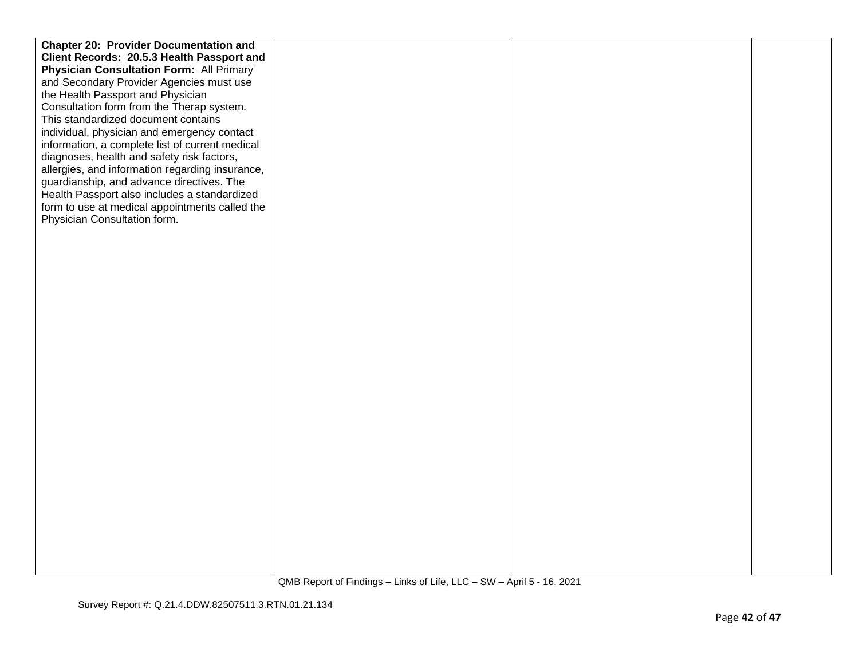| <b>Chapter 20: Provider Documentation and</b>   |  |  |
|-------------------------------------------------|--|--|
| Client Records: 20.5.3 Health Passport and      |  |  |
| <b>Physician Consultation Form: All Primary</b> |  |  |
| and Secondary Provider Agencies must use        |  |  |
| the Health Passport and Physician               |  |  |
| Consultation form from the Therap system.       |  |  |
| This standardized document contains             |  |  |
| individual, physician and emergency contact     |  |  |
| information, a complete list of current medical |  |  |
| diagnoses, health and safety risk factors,      |  |  |
| allergies, and information regarding insurance, |  |  |
| guardianship, and advance directives. The       |  |  |
| Health Passport also includes a standardized    |  |  |
| form to use at medical appointments called the  |  |  |
| Physician Consultation form.                    |  |  |
|                                                 |  |  |
|                                                 |  |  |
|                                                 |  |  |
|                                                 |  |  |
|                                                 |  |  |
|                                                 |  |  |
|                                                 |  |  |
|                                                 |  |  |
|                                                 |  |  |
|                                                 |  |  |
|                                                 |  |  |
|                                                 |  |  |
|                                                 |  |  |
|                                                 |  |  |
|                                                 |  |  |
|                                                 |  |  |
|                                                 |  |  |
|                                                 |  |  |
|                                                 |  |  |
|                                                 |  |  |
|                                                 |  |  |
|                                                 |  |  |
|                                                 |  |  |
|                                                 |  |  |
|                                                 |  |  |
|                                                 |  |  |
|                                                 |  |  |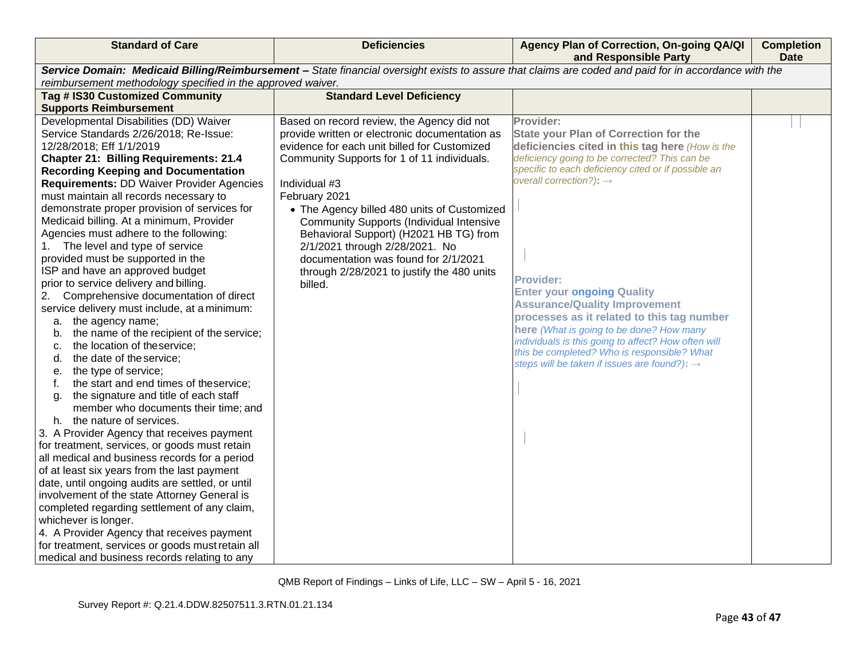| <b>Standard of Care</b>                                                                                                                                                                                                                                                                                                                                                                                                                                                                                                                                                                                                                                                                                                                                                                                                                                                                                                                                                                                                                                                                                                                                                                                                                                                                                                                                                                                                                                                                                                                                                | <b>Deficiencies</b>                                                                                                                                                                                                                                                                                                                                                                                                                                                                                          | Agency Plan of Correction, On-going QA/QI<br>and Responsible Party                                                                                                                                                                                                                                                                                                                                                                                                                                                                                                                                                       | <b>Completion</b><br><b>Date</b> |
|------------------------------------------------------------------------------------------------------------------------------------------------------------------------------------------------------------------------------------------------------------------------------------------------------------------------------------------------------------------------------------------------------------------------------------------------------------------------------------------------------------------------------------------------------------------------------------------------------------------------------------------------------------------------------------------------------------------------------------------------------------------------------------------------------------------------------------------------------------------------------------------------------------------------------------------------------------------------------------------------------------------------------------------------------------------------------------------------------------------------------------------------------------------------------------------------------------------------------------------------------------------------------------------------------------------------------------------------------------------------------------------------------------------------------------------------------------------------------------------------------------------------------------------------------------------------|--------------------------------------------------------------------------------------------------------------------------------------------------------------------------------------------------------------------------------------------------------------------------------------------------------------------------------------------------------------------------------------------------------------------------------------------------------------------------------------------------------------|--------------------------------------------------------------------------------------------------------------------------------------------------------------------------------------------------------------------------------------------------------------------------------------------------------------------------------------------------------------------------------------------------------------------------------------------------------------------------------------------------------------------------------------------------------------------------------------------------------------------------|----------------------------------|
|                                                                                                                                                                                                                                                                                                                                                                                                                                                                                                                                                                                                                                                                                                                                                                                                                                                                                                                                                                                                                                                                                                                                                                                                                                                                                                                                                                                                                                                                                                                                                                        |                                                                                                                                                                                                                                                                                                                                                                                                                                                                                                              | Service Domain: Medicaid Billing/Reimbursement - State financial oversight exists to assure that claims are coded and paid for in accordance with the                                                                                                                                                                                                                                                                                                                                                                                                                                                                    |                                  |
| reimbursement methodology specified in the approved waiver.<br>Tag # IS30 Customized Community                                                                                                                                                                                                                                                                                                                                                                                                                                                                                                                                                                                                                                                                                                                                                                                                                                                                                                                                                                                                                                                                                                                                                                                                                                                                                                                                                                                                                                                                         | <b>Standard Level Deficiency</b>                                                                                                                                                                                                                                                                                                                                                                                                                                                                             |                                                                                                                                                                                                                                                                                                                                                                                                                                                                                                                                                                                                                          |                                  |
|                                                                                                                                                                                                                                                                                                                                                                                                                                                                                                                                                                                                                                                                                                                                                                                                                                                                                                                                                                                                                                                                                                                                                                                                                                                                                                                                                                                                                                                                                                                                                                        |                                                                                                                                                                                                                                                                                                                                                                                                                                                                                                              |                                                                                                                                                                                                                                                                                                                                                                                                                                                                                                                                                                                                                          |                                  |
| <b>Supports Reimbursement</b><br>Developmental Disabilities (DD) Waiver<br>Service Standards 2/26/2018; Re-Issue:<br>12/28/2018; Eff 1/1/2019<br><b>Chapter 21: Billing Requirements: 21.4</b><br><b>Recording Keeping and Documentation</b><br><b>Requirements: DD Waiver Provider Agencies</b><br>must maintain all records necessary to<br>demonstrate proper provision of services for<br>Medicaid billing. At a minimum, Provider<br>Agencies must adhere to the following:<br>1. The level and type of service<br>provided must be supported in the<br>ISP and have an approved budget<br>prior to service delivery and billing.<br>Comprehensive documentation of direct<br>2.<br>service delivery must include, at a minimum:<br>a. the agency name;<br>the name of the recipient of the service;<br>b.<br>the location of theservice;<br>c.<br>the date of the service;<br>d.<br>the type of service;<br>е.<br>the start and end times of theservice;<br>f.<br>the signature and title of each staff<br>g.<br>member who documents their time; and<br>h. the nature of services.<br>3. A Provider Agency that receives payment<br>for treatment, services, or goods must retain<br>all medical and business records for a period<br>of at least six years from the last payment<br>date, until ongoing audits are settled, or until<br>involvement of the state Attorney General is<br>completed regarding settlement of any claim,<br>whichever is longer.<br>4. A Provider Agency that receives payment<br>for treatment, services or goods must retain all | Based on record review, the Agency did not<br>provide written or electronic documentation as<br>evidence for each unit billed for Customized<br>Community Supports for 1 of 11 individuals.<br>Individual #3<br>February 2021<br>• The Agency billed 480 units of Customized<br><b>Community Supports (Individual Intensive</b><br>Behavioral Support) (H2021 HB TG) from<br>2/1/2021 through 2/28/2021. No<br>documentation was found for 2/1/2021<br>through 2/28/2021 to justify the 480 units<br>billed. | Provider:<br><b>State your Plan of Correction for the</b><br>deficiencies cited in this tag here (How is the<br>deficiency going to be corrected? This can be<br>specific to each deficiency cited or if possible an<br>overall correction?): $\rightarrow$<br><b>Provider:</b><br><b>Enter your ongoing Quality</b><br><b>Assurance/Quality Improvement</b><br>processes as it related to this tag number<br>here (What is going to be done? How many<br>individuals is this going to affect? How often will<br>this be completed? Who is responsible? What<br>steps will be taken if issues are found?): $\rightarrow$ |                                  |
| medical and business records relating to any                                                                                                                                                                                                                                                                                                                                                                                                                                                                                                                                                                                                                                                                                                                                                                                                                                                                                                                                                                                                                                                                                                                                                                                                                                                                                                                                                                                                                                                                                                                           |                                                                                                                                                                                                                                                                                                                                                                                                                                                                                                              |                                                                                                                                                                                                                                                                                                                                                                                                                                                                                                                                                                                                                          |                                  |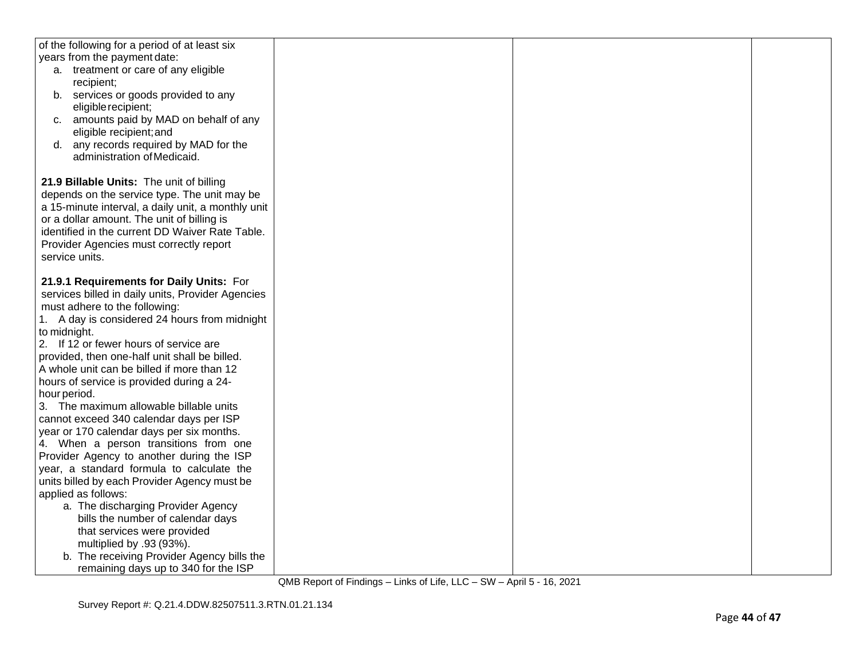| of the following for a period of at least six      |  |  |
|----------------------------------------------------|--|--|
| years from the payment date:                       |  |  |
| a. treatment or care of any eligible               |  |  |
| recipient;                                         |  |  |
| b. services or goods provided to any               |  |  |
| eligible recipient;                                |  |  |
| c. amounts paid by MAD on behalf of any            |  |  |
| eligible recipient; and                            |  |  |
| d. any records required by MAD for the             |  |  |
| administration of Medicaid.                        |  |  |
|                                                    |  |  |
| 21.9 Billable Units: The unit of billing           |  |  |
| depends on the service type. The unit may be       |  |  |
| a 15-minute interval, a daily unit, a monthly unit |  |  |
| or a dollar amount. The unit of billing is         |  |  |
| identified in the current DD Waiver Rate Table.    |  |  |
| Provider Agencies must correctly report            |  |  |
| service units.                                     |  |  |
|                                                    |  |  |
|                                                    |  |  |
| 21.9.1 Requirements for Daily Units: For           |  |  |
| services billed in daily units, Provider Agencies  |  |  |
| must adhere to the following:                      |  |  |
| 1. A day is considered 24 hours from midnight      |  |  |
| to midnight.                                       |  |  |
| 2. If 12 or fewer hours of service are             |  |  |
| provided, then one-half unit shall be billed.      |  |  |
| A whole unit can be billed if more than 12         |  |  |
| hours of service is provided during a 24-          |  |  |
| hour period.                                       |  |  |
| 3. The maximum allowable billable units            |  |  |
| cannot exceed 340 calendar days per ISP            |  |  |
| year or 170 calendar days per six months.          |  |  |
| 4. When a person transitions from one              |  |  |
| Provider Agency to another during the ISP          |  |  |
| year, a standard formula to calculate the          |  |  |
| units billed by each Provider Agency must be       |  |  |
| applied as follows:                                |  |  |
| a. The discharging Provider Agency                 |  |  |
| bills the number of calendar days                  |  |  |
| that services were provided                        |  |  |
| multiplied by .93 (93%).                           |  |  |
| b. The receiving Provider Agency bills the         |  |  |
| remaining days up to 340 for the ISP               |  |  |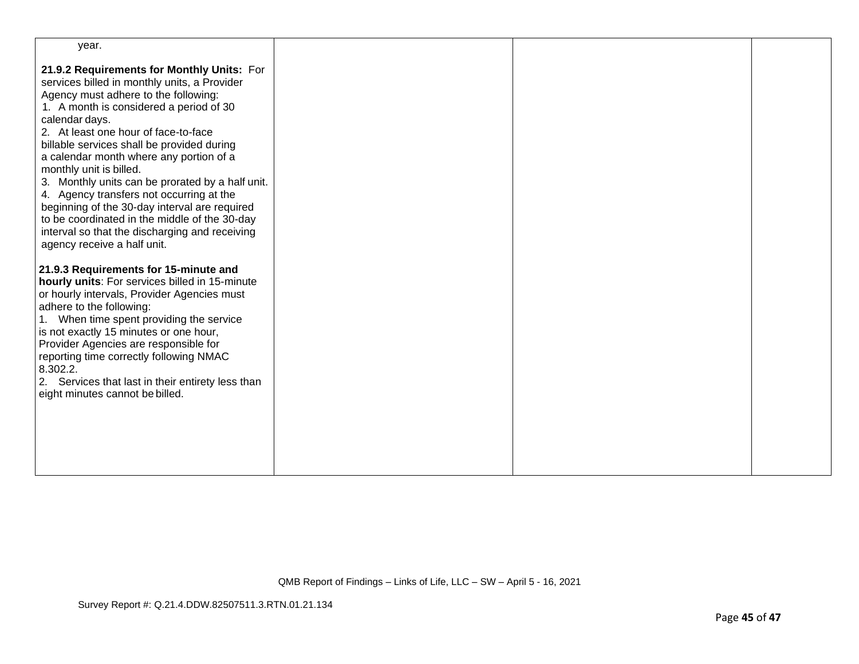| year.                                                                                                                                                                                                                                                                                                                                                                                                                                                                                                                                                                                                                                          |  |  |
|------------------------------------------------------------------------------------------------------------------------------------------------------------------------------------------------------------------------------------------------------------------------------------------------------------------------------------------------------------------------------------------------------------------------------------------------------------------------------------------------------------------------------------------------------------------------------------------------------------------------------------------------|--|--|
| 21.9.2 Requirements for Monthly Units: For<br>services billed in monthly units, a Provider<br>Agency must adhere to the following:<br>1. A month is considered a period of 30<br>calendar days.<br>2. At least one hour of face-to-face<br>billable services shall be provided during<br>a calendar month where any portion of a<br>monthly unit is billed.<br>3. Monthly units can be prorated by a half unit.<br>4. Agency transfers not occurring at the<br>beginning of the 30-day interval are required<br>to be coordinated in the middle of the 30-day<br>interval so that the discharging and receiving<br>agency receive a half unit. |  |  |
| 21.9.3 Requirements for 15-minute and<br>hourly units: For services billed in 15-minute<br>or hourly intervals, Provider Agencies must<br>adhere to the following:<br>1. When time spent providing the service<br>is not exactly 15 minutes or one hour,<br>Provider Agencies are responsible for<br>reporting time correctly following NMAC<br>8.302.2.<br>2. Services that last in their entirety less than<br>eight minutes cannot be billed.                                                                                                                                                                                               |  |  |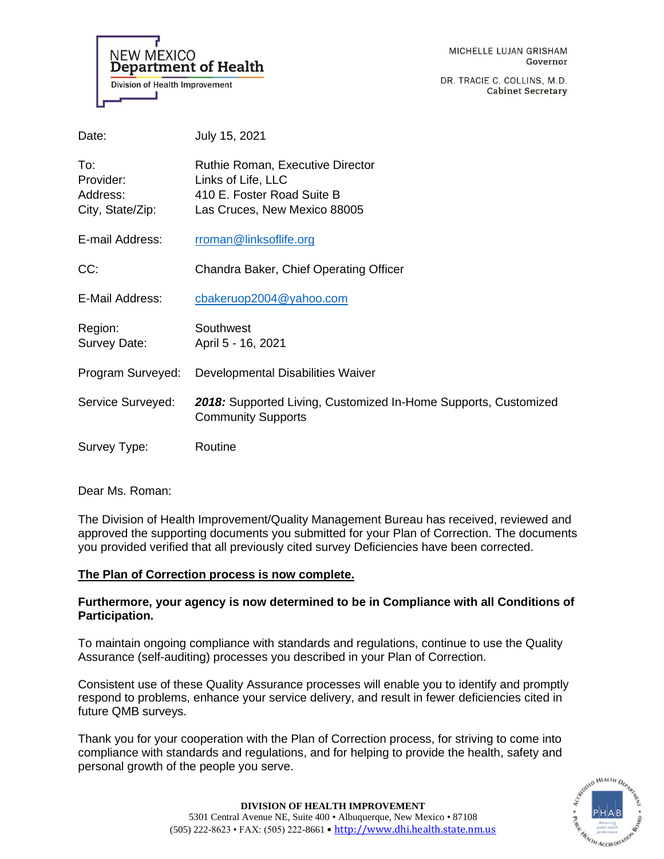**NEW MEXICO Department of Health Division of Health Improvement** 

DR. TRACIE C. COLLINS, M.D. **Cabinet Secretary** 

| Date:                                            | July 15, 2021                                                                                                               |
|--------------------------------------------------|-----------------------------------------------------------------------------------------------------------------------------|
| To:<br>Provider:<br>Address:<br>City, State/Zip: | <b>Ruthie Roman, Executive Director</b><br>Links of Life, LLC<br>410 E. Foster Road Suite B<br>Las Cruces, New Mexico 88005 |
| E-mail Address:                                  | rroman@linksoflife.org                                                                                                      |
| CC:                                              | Chandra Baker, Chief Operating Officer                                                                                      |
| E-Mail Address:                                  | cbakeruop2004@yahoo.com                                                                                                     |
| Region:<br>Survey Date:                          | Southwest<br>April 5 - 16, 2021                                                                                             |
| Program Surveyed:                                | Developmental Disabilities Waiver                                                                                           |
| Service Surveyed:                                | 2018: Supported Living, Customized In-Home Supports, Customized<br><b>Community Supports</b>                                |
| Survey Type:                                     | Routine                                                                                                                     |

Dear Ms. Roman:

The Division of Health Improvement/Quality Management Bureau has received, reviewed and approved the supporting documents you submitted for your Plan of Correction. The documents you provided verified that all previously cited survey Deficiencies have been corrected.

### **The Plan of Correction process is now complete.**

# **Furthermore, your agency is now determined to be in Compliance with all Conditions of Participation.**

To maintain ongoing compliance with standards and regulations, continue to use the Quality Assurance (self-auditing) processes you described in your Plan of Correction.

Consistent use of these Quality Assurance processes will enable you to identify and promptly respond to problems, enhance your service delivery, and result in fewer deficiencies cited in future QMB surveys.

Thank you for your cooperation with the Plan of Correction process, for striving to come into compliance with standards and regulations, and for helping to provide the health, safety and personal growth of the people you serve.